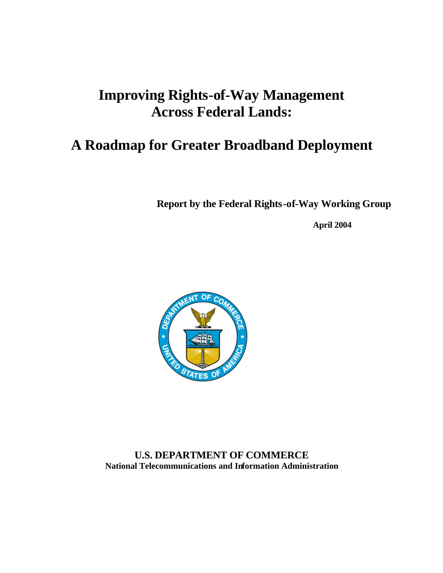# **Improving Rights-of-Way Management Across Federal Lands:**

# **A Roadmap for Greater Broadband Deployment**

**Report by the Federal Rights-of-Way Working Group**

**April 2004**



**U.S. DEPARTMENT OF COMMERCE National Telecommunications and Information Administration**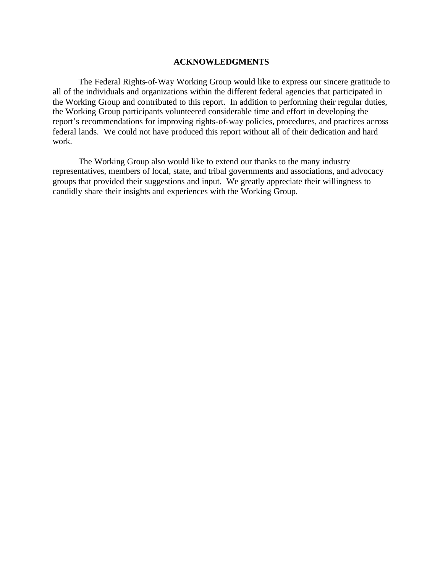#### **ACKNOWLEDGMENTS**

The Federal Rights-of-Way Working Group would like to express our sincere gratitude to all of the individuals and organizations within the different federal agencies that participated in the Working Group and contributed to this report. In addition to performing their regular duties, the Working Group participants volunteered considerable time and effort in developing the report's recommendations for improving rights-of-way policies, procedures, and practices across federal lands. We could not have produced this report without all of their dedication and hard work.

The Working Group also would like to extend our thanks to the many industry representatives, members of local, state, and tribal governments and associations, and advocacy groups that provided their suggestions and input. We greatly appreciate their willingness to candidly share their insights and experiences with the Working Group.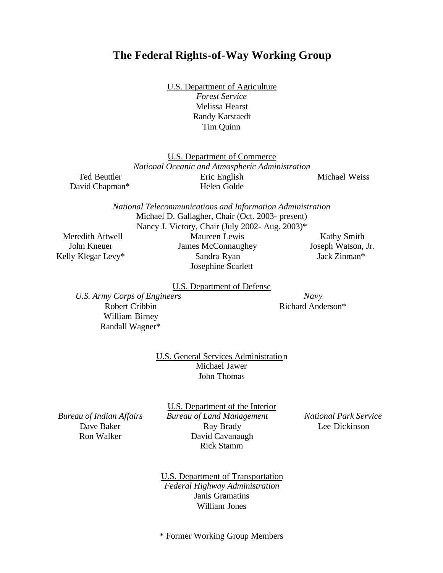## **The Federal Rights-of-Way Working Group**

U.S. Department of Agriculture *Forest Service* Melissa Hearst

Randy Karstaedt Tim Quinn

U.S. Department of Commerce *National Oceanic and Atmospheric Administration* Eric English Helen Golde

Michael Weiss

*National Telecommunications and Information Administration* Michael D. Gallagher, Chair (Oct. 2003- present) Nancy J. Victory, Chair (July 2002- Aug. 2003)\*

Meredith Attwell John Kneuer Kelly Klegar Levy\*

Ted Beuttler David Chapman\*

> Maureen Lewis James McConnaughey Sandra Ryan Josephine Scarlett

Kathy Smith Joseph Watson, Jr. Jack Zinman\*

U.S. Department of Defense

*U.S. Army Corps of Engineers* Robert Cribbin William Birney Randall Wagner\*

*Navy* Richard Anderson\*

U.S. General Services Administration Michael Jawer John Thomas

*Bureau of Indian Affairs* Dave Baker Ron Walker

U.S. Department of the Interior *Bureau of Land Management* Ray Brady David Cavanaugh Rick Stamm

*National Park Service* Lee Dickinson

U.S. Department of Transportation *Federal Highway Administration* Janis Gramatins William Jones

\* Former Working Group Members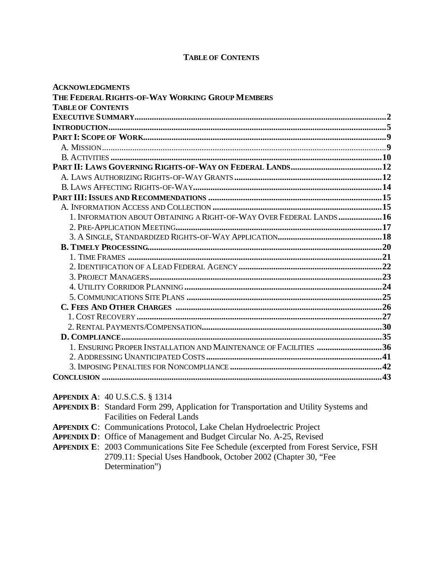### **TABLE OF CONTENTS**

| <b>ACKNOWLEDGMENTS</b>                                               |  |
|----------------------------------------------------------------------|--|
| THE FEDERAL RIGHTS-OF-WAY WORKING GROUP MEMBERS                      |  |
| <b>TABLE OF CONTENTS</b>                                             |  |
|                                                                      |  |
|                                                                      |  |
|                                                                      |  |
|                                                                      |  |
|                                                                      |  |
|                                                                      |  |
|                                                                      |  |
|                                                                      |  |
|                                                                      |  |
|                                                                      |  |
| 1. INFORMATION ABOUT OBTAINING A RIGHT-OF-WAY OVER FEDERAL LANDS  16 |  |
|                                                                      |  |
|                                                                      |  |
|                                                                      |  |
|                                                                      |  |
|                                                                      |  |
|                                                                      |  |
|                                                                      |  |
|                                                                      |  |
|                                                                      |  |
|                                                                      |  |
|                                                                      |  |
|                                                                      |  |
| 1. ENSURING PROPER INSTALLATION AND MAINTENANCE OF FACILITIES 36     |  |
|                                                                      |  |
|                                                                      |  |
|                                                                      |  |

**APPENDIX A**: 40 U.S.C.S. § 1314

|                                    | <b>APPENDIX B:</b> Standard Form 299, Application for Transportation and Utility Systems and |  |
|------------------------------------|----------------------------------------------------------------------------------------------|--|
| <b>Facilities on Federal Lands</b> |                                                                                              |  |

- **APPENDIX C**: Communications Protocol, Lake Chelan Hydroelectric Project
- **APPENDIX D**: Office of Management and Budget Circular No. A-25, Revised
- **APPENDIX E**: 2003 Communications Site Fee Schedule (excerpted from Forest Service, FSH 2709.11: Special Uses Handbook, October 2002 (Chapter 30, "Fee Determination")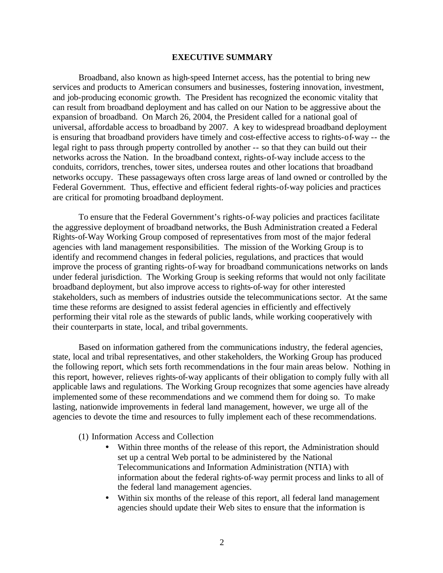#### **EXECUTIVE SUMMARY**

Broadband, also known as high-speed Internet access, has the potential to bring new services and products to American consumers and businesses, fostering innovation, investment, and job-producing economic growth. The President has recognized the economic vitality that can result from broadband deployment and has called on our Nation to be aggressive about the expansion of broadband. On March 26, 2004, the President called for a national goal of universal, affordable access to broadband by 2007. A key to widespread broadband deployment is ensuring that broadband providers have timely and cost-effective access to rights-of-way -- the legal right to pass through property controlled by another -- so that they can build out their networks across the Nation. In the broadband context, rights-of-way include access to the conduits, corridors, trenches, tower sites, undersea routes and other locations that broadband networks occupy. These passageways often cross large areas of land owned or controlled by the Federal Government. Thus, effective and efficient federal rights-of-way policies and practices are critical for promoting broadband deployment.

To ensure that the Federal Government's rights-of-way policies and practices facilitate the aggressive deployment of broadband networks, the Bush Administration created a Federal Rights-of-Way Working Group composed of representatives from most of the major federal agencies with land management responsibilities. The mission of the Working Group is to identify and recommend changes in federal policies, regulations, and practices that would improve the process of granting rights-of-way for broadband communications networks on lands under federal jurisdiction. The Working Group is seeking reforms that would not only facilitate broadband deployment, but also improve access to rights-of-way for other interested stakeholders, such as members of industries outside the telecommunications sector. At the same time these reforms are designed to assist federal agencies in efficiently and effectively performing their vital role as the stewards of public lands, while working cooperatively with their counterparts in state, local, and tribal governments.

Based on information gathered from the communications industry, the federal agencies, state, local and tribal representatives, and other stakeholders, the Working Group has produced the following report, which sets forth recommendations in the four main areas below. Nothing in this report, however, relieves rights-of-way applicants of their obligation to comply fully with all applicable laws and regulations. The Working Group recognizes that some agencies have already implemented some of these recommendations and we commend them for doing so. To make lasting, nationwide improvements in federal land management, however, we urge all of the agencies to devote the time and resources to fully implement each of these recommendations.

- (1) Information Access and Collection
	- Within three months of the release of this report, the Administration should set up a central Web portal to be administered by the National Telecommunications and Information Administration (NTIA) with information about the federal rights-of-way permit process and links to all of the federal land management agencies.
	- Within six months of the release of this report, all federal land management agencies should update their Web sites to ensure that the information is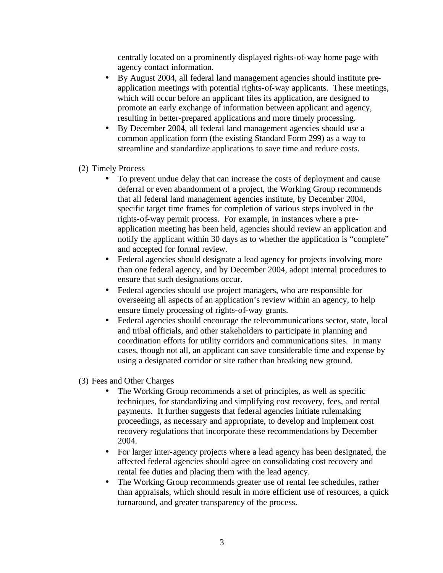centrally located on a prominently displayed rights-of-way home page with agency contact information.

- By August 2004, all federal land management agencies should institute preapplication meetings with potential rights-of-way applicants. These meetings, which will occur before an applicant files its application, are designed to promote an early exchange of information between applicant and agency, resulting in better-prepared applications and more timely processing.
- By December 2004, all federal land management agencies should use a common application form (the existing Standard Form 299) as a way to streamline and standardize applications to save time and reduce costs.
- (2) Timely Process
	- To prevent undue delay that can increase the costs of deployment and cause deferral or even abandonment of a project, the Working Group recommends that all federal land management agencies institute, by December 2004, specific target time frames for completion of various steps involved in the rights-of-way permit process. For example, in instances where a preapplication meeting has been held, agencies should review an application and notify the applicant within 30 days as to whether the application is "complete" and accepted for formal review.
	- Federal agencies should designate a lead agency for projects involving more than one federal agency, and by December 2004, adopt internal procedures to ensure that such designations occur.
	- Federal agencies should use project managers, who are responsible for overseeing all aspects of an application's review within an agency, to help ensure timely processing of rights-of-way grants.
	- Federal agencies should encourage the telecommunications sector, state, local and tribal officials, and other stakeholders to participate in planning and coordination efforts for utility corridors and communications sites. In many cases, though not all, an applicant can save considerable time and expense by using a designated corridor or site rather than breaking new ground.
- (3) Fees and Other Charges
	- The Working Group recommends a set of principles, as well as specific techniques, for standardizing and simplifying cost recovery, fees, and rental payments. It further suggests that federal agencies initiate rulemaking proceedings, as necessary and appropriate, to develop and implement cost recovery regulations that incorporate these recommendations by December 2004.
	- For larger inter-agency projects where a lead agency has been designated, the affected federal agencies should agree on consolidating cost recovery and rental fee duties and placing them with the lead agency.
	- The Working Group recommends greater use of rental fee schedules, rather than appraisals, which should result in more efficient use of resources, a quick turnaround, and greater transparency of the process.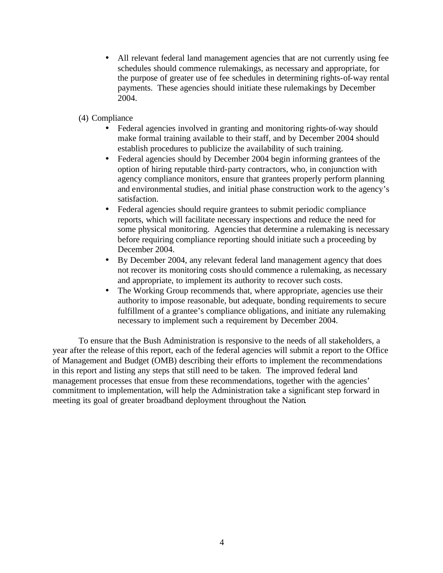- All relevant federal land management agencies that are not currently using fee schedules should commence rulemakings, as necessary and appropriate, for the purpose of greater use of fee schedules in determining rights-of-way rental payments. These agencies should initiate these rulemakings by December 2004.
- (4) Compliance
	- Federal agencies involved in granting and monitoring rights-of-way should make formal training available to their staff, and by December 2004 should establish procedures to publicize the availability of such training.
	- Federal agencies should by December 2004 begin informing grantees of the option of hiring reputable third-party contractors, who, in conjunction with agency compliance monitors, ensure that grantees properly perform planning and environmental studies, and initial phase construction work to the agency's satisfaction.
	- Federal agencies should require grantees to submit periodic compliance reports, which will facilitate necessary inspections and reduce the need for some physical monitoring. Agencies that determine a rulemaking is necessary before requiring compliance reporting should initiate such a proceeding by December 2004.
	- By December 2004, any relevant federal land management agency that does not recover its monitoring costs should commence a rulemaking, as necessary and appropriate, to implement its authority to recover such costs.
	- The Working Group recommends that, where appropriate, agencies use their authority to impose reasonable, but adequate, bonding requirements to secure fulfillment of a grantee's compliance obligations, and initiate any rulemaking necessary to implement such a requirement by December 2004.

To ensure that the Bush Administration is responsive to the needs of all stakeholders, a year after the release of this report, each of the federal agencies will submit a report to the Office of Management and Budget (OMB) describing their efforts to implement the recommendations in this report and listing any steps that still need to be taken. The improved federal land management processes that ensue from these recommendations, together with the agencies' commitment to implementation, will help the Administration take a significant step forward in meeting its goal of greater broadband deployment throughout the Nation.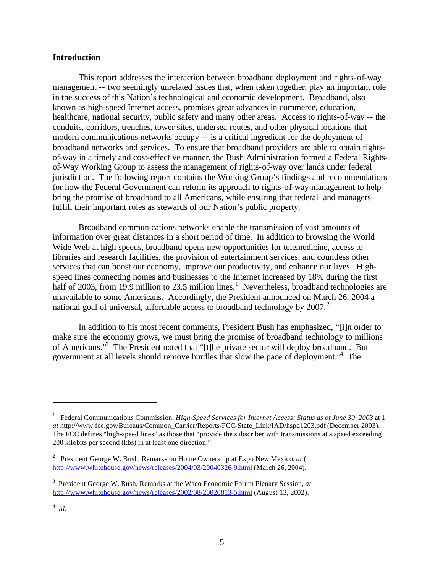#### **Introduction**

This report addresses the interaction between broadband deployment and rights-of-way management -- two seemingly unrelated issues that, when taken together, play an important role in the success of this Nation's technological and economic development. Broadband, also known as high-speed Internet access, promises great advances in commerce, education, healthcare, national security, public safety and many other areas. Access to rights-of-way -- the conduits, corridors, trenches, tower sites, undersea routes, and other physical locations that modern communications networks occupy -- is a critical ingredient for the deployment of broadband networks and services. To ensure that broadband providers are able to obtain rightsof-way in a timely and cost-effective manner, the Bush Administration formed a Federal Rightsof-Way Working Group to assess the management of rights-of-way over lands under federal jurisdiction. The following report contains the Working Group's findings and recommendations for how the Federal Government can reform its approach to rights-of-way management to help bring the promise of broadband to all Americans, while ensuring that federal land managers fulfill their important roles as stewards of our Nation's public property.

Broadband communications networks enable the transmission of vast amounts of information over great distances in a short period of time. In addition to browsing the World Wide Web at high speeds, broadband opens new opportunities for telemedicine, access to libraries and research facilities, the provision of entertainment services, and countless other services that can boost our economy, improve our productivity, and enhance our lives. Highspeed lines connecting homes and businesses to the Internet increased by 18% during the first half of 2003, from 19.9 million to 23.5 million lines.<sup>1</sup> Nevertheless, broadband technologies are unavailable to some Americans. Accordingly, the President announced on March 26, 2004 a national goal of universal, affordable access to broadband technology by  $2007<sup>2</sup>$ .

In addition to his most recent comments, President Bush has emphasized, "[i]n order to make sure the economy grows, we must bring the promise of broadband technology to millions of Americans."<sup>3</sup> The President noted that "[t]he private sector will deploy broadband. But government at all levels should remove hurdles that slow the pace of deployment."<sup>4</sup> The

<sup>&</sup>lt;sup>1</sup> Federal Communications Commission, *High-Speed Services for Internet Access: Status as of June 30, 2003* at 1 *at* http://www.fcc.gov/Bureaus/Common\_Carrier/Reports/FCC-State\_Link/IAD/hspd1203.pdf (December 2003). The FCC defines "high-speed lines" as those that "provide the subscriber with transmissions at a speed exceeding 200 kilobits per second (kbs) in at least one direction."

<sup>2</sup> President George W. Bush, Remarks on Home Ownership at Expo New Mexico, *at* ( http://www.whitehouse.gov/news/releases/2004/03/20040326-9.html (March 26, 2004).

<sup>3</sup> President George W. Bush, Remarks at the Waco Economic Forum Plenary Session, *at*  http://www.whitehouse.gov/news/releases/2002/08/20020813-5.html (August 13, 2002).

<sup>4</sup>  *Id.*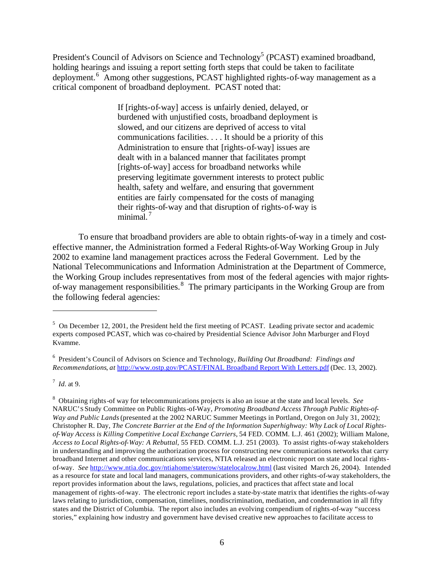President's Council of Advisors on Science and Technology<sup>5</sup> (PCAST) examined broadband, holding hearings and issuing a report setting forth steps that could be taken to facilitate deployment.<sup>6</sup> Among other suggestions, PCAST highlighted rights-of-way management as a critical component of broadband deployment. PCAST noted that:

> If [rights-of-way] access is unfairly denied, delayed, or burdened with unjustified costs, broadband deployment is slowed, and our citizens are deprived of access to vital communications facilities. . . . It should be a priority of this Administration to ensure that [rights-of-way] issues are dealt with in a balanced manner that facilitates prompt [rights-of-way] access for broadband networks while preserving legitimate government interests to protect public health, safety and welfare, and ensuring that government entities are fairly compensated for the costs of managing their rights-of-way and that disruption of rights-of-way is minimal. $<sup>7</sup>$ </sup>

To ensure that broadband providers are able to obtain rights-of-way in a timely and costeffective manner, the Administration formed a Federal Rights-of-Way Working Group in July 2002 to examine land management practices across the Federal Government. Led by the National Telecommunications and Information Administration at the Department of Commerce, the Working Group includes representatives from most of the federal agencies with major rightsof-way management responsibilities.<sup>8</sup> The primary participants in the Working Group are from the following federal agencies:

 $5$  On December 12, 2001, the President held the first meeting of PCAST. Leading private sector and academic experts composed PCAST, which was co-chaired by Presidential Science Advisor John Marburger and Floyd Kvamme.

<sup>6</sup> President's Council of Advisors on Science and Technology, *Building Out Broadband: Findings and Recommendations*, *at* http://www.ostp.gov/PCAST/FINAL Broadband Report With Letters.pdf (Dec. 13, 2002).

<sup>7</sup>  *Id.* at 9.

<sup>8</sup> Obtaining rights-of way for telecommunications projects is also an issue at the state and local levels. *See* NARUC'S Study Committee on Public Rights-of-Way, *Promoting Broadband Access Through Public Rights-of-Way and Public Lands*(presented at the 2002 NARUC Summer Meetings in Portland, Oregon on July 31, 2002); Christopher R. Day, *The Concrete Barrier at the End of the Information Superhighway: Why Lack of Local Rightsof-Way Access is Killing Competitive Local Exchange Carriers*, 54 FED. COMM. L.J. 461 (2002); William Malone, *Access to Local Rights-of-Way: A Rebuttal*, 55 FED. COMM. L.J. 251 (2003). To assist rights-of-way stakeholders in understanding and improving the authorization process for constructing new communications networks that carry broadband Internet and other communications services, NTIA released an electronic report on state and local rightsof-way. *See* http://www.ntia.doc.gov/ntiahome/staterow/statelocalrow.html (last visited March 26, 2004). Intended as a resource for state and local land managers, communications providers, and other rights-of-way stakeholders, the report provides information about the laws, regulations, policies, and practices that affect state and local management of rights-of-way. The electronic report includes a state-by-state matrix that identifies the rights-of-way laws relating to jurisdiction, compensation, timelines, nondiscrimination, mediation, and condemnation in all fifty states and the District of Columbia. The report also includes an evolving compendium of rights-of-way "success stories," explaining how industry and government have devised creative new approaches to facilitate access to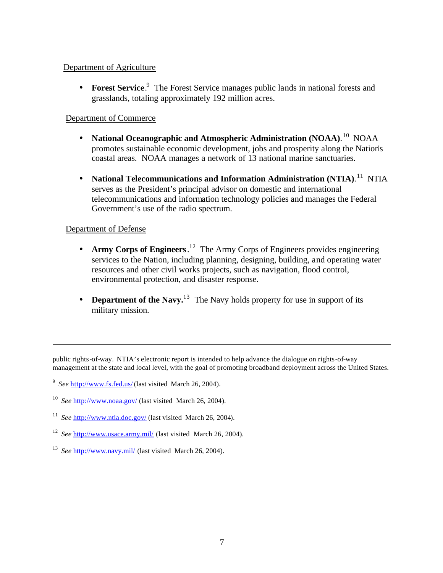## Department of Agriculture

• **Forest Service**.<sup>9</sup> The Forest Service manages public lands in national forests and grasslands, totaling approximately 192 million acres.

## Department of Commerce

- **National Oceanographic and Atmospheric Administration (NOAA)**. <sup>10</sup> NOAA promotes sustainable economic development, jobs and prosperity along the Nation's coastal areas. NOAA manages a network of 13 national marine sanctuaries.
- **National Telecommunications and Information Administration (NTIA)**. <sup>11</sup> NTIA serves as the President's principal advisor on domestic and international telecommunications and information technology policies and manages the Federal Government's use of the radio spectrum.

## Department of Defense

 $\overline{a}$ 

- **Army Corps of Engineers**. <sup>12</sup> The Army Corps of Engineers provides engineering services to the Nation, including planning, designing, building, and operating water resources and other civil works projects, such as navigation, flood control, environmental protection, and disaster response.
- **Department of the Navy.**<sup>13</sup> The Navy holds property for use in support of its military mission.

public rights-of-way. NTIA's electronic report is intended to help advance the dialogue on rights-of-way management at the state and local level, with the goal of promoting broadband deployment across the United States.

- <sup>11</sup> See http://www.ntia.doc.gov/ (last visited March 26, 2004).
- <sup>12</sup> See http://www.usace.army.mil/ (last visited March 26, 2004).
- <sup>13</sup> See http://www.navy.mil/ (last visited March 26, 2004).

<sup>&</sup>lt;sup>9</sup> See http://www.fs.fed.us/ (last visited March 26, 2004).

<sup>&</sup>lt;sup>10</sup> See http://www.noaa.gov/ (last visited March 26, 2004).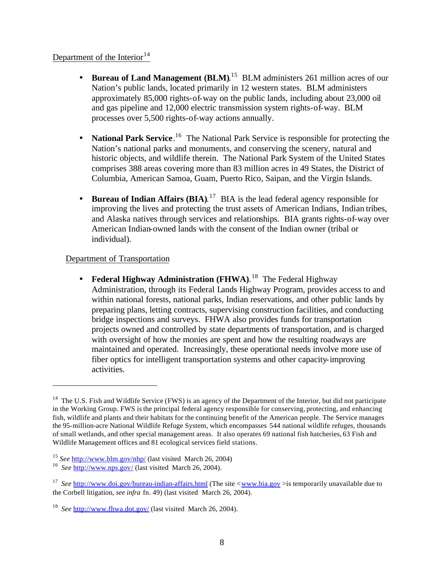## Department of the Interior  $14$

- **Bureau of Land Management (BLM).**<sup>15</sup> BLM administers 261 million acres of our Nation's public lands, located primarily in 12 western states. BLM administers approximately 85,000 rights-of-way on the public lands, including about 23,000 oil and gas pipeline and 12,000 electric transmission system rights-of-way. BLM processes over 5,500 rights-of-way actions annually.
- **National Park Service**.<sup>16</sup> The National Park Service is responsible for protecting the Nation's national parks and monuments, and conserving the scenery, natural and historic objects, and wildlife therein. The National Park System of the United States comprises 388 areas covering more than 83 million acres in 49 States, the District of Columbia, American Samoa, Guam, Puerto Rico, Saipan, and the Virgin Islands.
- **Bureau of Indian Affairs (BIA)**. <sup>17</sup> BIA is the lead federal agency responsible for improving the lives and protecting the trust assets of American Indians, Indian tribes, and Alaska natives through services and relationships. BIA grants rights-of-way over American Indian-owned lands with the consent of the Indian owner (tribal or individual).

## Department of Transportation

 $\overline{a}$ 

• **Federal Highway Administration (FHWA)**. <sup>18</sup> The Federal Highway Administration, through its Federal Lands Highway Program, provides access to and within national forests, national parks, Indian reservations, and other public lands by preparing plans, letting contracts, supervising construction facilities, and conducting bridge inspections and surveys. FHWA also provides funds for transportation projects owned and controlled by state departments of transportation, and is charged with oversight of how the monies are spent and how the resulting roadways are maintained and operated. Increasingly, these operational needs involve more use of fiber optics for intelligent transportation systems and other capacity-improving activities.

<sup>&</sup>lt;sup>14</sup> The U.S. Fish and Wildlife Service (FWS) is an agency of the Department of the Interior, but did not participate in the Working Group. FWS is the principal federal agency responsible for conserving, protecting, and enhancing fish, wildlife and plants and their habitats for the continuing benefit of the American people. The Service manages the 95-million-acre National Wildlife Refuge System, which encompasses 544 national wildlife refuges, thousands of small wetlands, and other special management areas. It also operates 69 national fish hatcheries, 63 Fish and Wildlife Management offices and 81 ecological services field stations.

<sup>15</sup> *See* http://www.blm.gov/nhp/ (last visited March 26, 2004)

<sup>&</sup>lt;sup>16</sup> See http://www.nps.gov/ (last visited March 26, 2004).

<sup>&</sup>lt;sup>17</sup> See http://www.doi.gov/bureau-indian-affairs.html (The site <www.bia.gov >is temporarily unavailable due to the Corbell litigation, *see infra* fn. 49) (last visited March 26, 2004).

<sup>&</sup>lt;sup>18</sup> See http://www.fhwa.dot.gov/ (last visited March 26, 2004).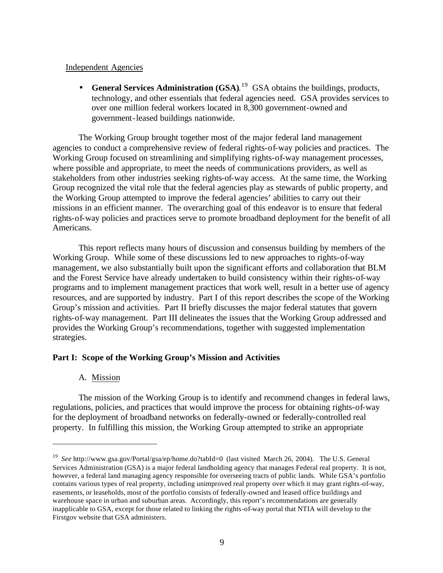### Independent Agencies

• **General Services Administration (GSA)**. <sup>19</sup> GSA obtains the buildings, products, technology, and other essentials that federal agencies need. GSA provides services to over one million federal workers located in 8,300 government-owned and government-leased buildings nationwide.

The Working Group brought together most of the major federal land management agencies to conduct a comprehensive review of federal rights-of-way policies and practices. The Working Group focused on streamlining and simplifying rights-of-way management processes, where possible and appropriate, to meet the needs of communications providers, as well as stakeholders from other industries seeking rights-of-way access. At the same time, the Working Group recognized the vital role that the federal agencies play as stewards of public property, and the Working Group attempted to improve the federal agencies' abilities to carry out their missions in an efficient manner. The overarching goal of this endeavor is to ensure that federal rights-of-way policies and practices serve to promote broadband deployment for the benefit of all Americans.

This report reflects many hours of discussion and consensus building by members of the Working Group. While some of these discussions led to new approaches to rights-of-way management, we also substantially built upon the significant efforts and collaboration that BLM and the Forest Service have already undertaken to build consistency within their rights-of-way programs and to implement management practices that work well, result in a better use of agency resources, and are supported by industry. Part I of this report describes the scope of the Working Group's mission and activities. Part II briefly discusses the major federal statutes that govern rights-of-way management. Part III delineates the issues that the Working Group addressed and provides the Working Group's recommendations, together with suggested implementation strategies.

## **Part I: Scope of the Working Group's Mission and Activities**

## A. Mission

 $\overline{a}$ 

The mission of the Working Group is to identify and recommend changes in federal laws, regulations, policies, and practices that would improve the process for obtaining rights-of-way for the deployment of broadband networks on federally-owned or federally-controlled real property. In fulfilling this mission, the Working Group attempted to strike an appropriate

<sup>&</sup>lt;sup>19</sup> See http://www.gsa.gov/Portal/gsa/ep/home.do?tabId=0 (last visited March 26, 2004). The U.S. General Services Administration (GSA) is a major federal landholding agency that manages Federal real property. It is not, however, a federal land managing agency responsible for overseeing tracts of public lands. While GSA's portfolio contains various types of real property, including unimproved real property over which it may grant rights-of-way, easements, or leaseholds, most of the portfolio consists of federally-owned and leased office buildings and warehouse space in urban and suburban areas. Accordingly, this report's recommendations are generally inapplicable to GSA, except for those related to linking the rights-of-way portal that NTIA will develop to the Firstgov website that GSA administers.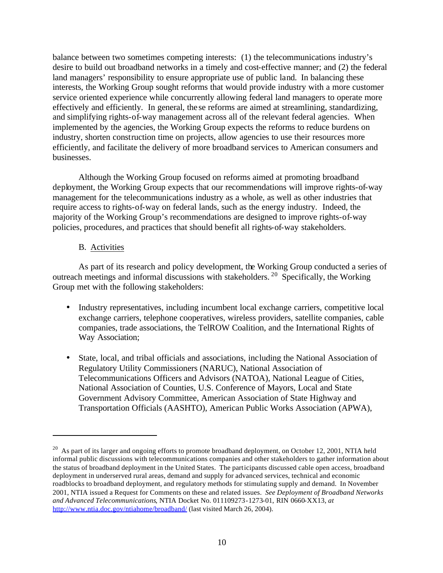balance between two sometimes competing interests: (1) the telecommunications industry's desire to build out broadband networks in a timely and cost-effective manner; and (2) the federal land managers' responsibility to ensure appropriate use of public land.In balancing these interests, the Working Group sought reforms that would provide industry with a more customer service oriented experience while concurrently allowing federal land managers to operate more effectively and efficiently. In general, the se reforms are aimed at streamlining, standardizing, and simplifying rights-of-way management across all of the relevant federal agencies. When implemented by the agencies, the Working Group expects the reforms to reduce burdens on industry, shorten construction time on projects, allow agencies to use their resources more efficiently, and facilitate the delivery of more broadband services to American consumers and businesses.

Although the Working Group focused on reforms aimed at promoting broadband deployment, the Working Group expects that our recommendations will improve rights-of-way management for the telecommunications industry as a whole, as well as other industries that require access to rights-of-way on federal lands, such as the energy industry. Indeed, the majority of the Working Group's recommendations are designed to improve rights-of-way policies, procedures, and practices that should benefit all rights-of-way stakeholders.

## B. Activities

 $\overline{a}$ 

As part of its research and policy development, the Working Group conducted a series of outreach meetings and informal discussions with stakeholders. <sup>20</sup> Specifically, the Working Group met with the following stakeholders:

- Industry representatives, including incumbent local exchange carriers, competitive local exchange carriers, telephone cooperatives, wireless providers, satellite companies, cable companies, trade associations, the TelROW Coalition, and the International Rights of Way Association;
- State, local, and tribal officials and associations, including the National Association of Regulatory Utility Commissioners (NARUC), National Association of Telecommunications Officers and Advisors (NATOA), National League of Cities, National Association of Counties, U.S. Conference of Mayors, Local and State Government Advisory Committee, American Association of State Highway and Transportation Officials (AASHTO), American Public Works Association (APWA),

<sup>&</sup>lt;sup>20</sup> As part of its larger and ongoing efforts to promote broadband deployment, on October 12, 2001, NTIA held informal public discussions with telecommunications companies and other stakeholders to gather information about the status of broadband deployment in the United States. The participants discussed cable open access, broadband deployment in underserved rural areas, demand and supply for advanced services, technical and economic roadblocks to broadband deployment, and regulatory methods for stimulating supply and demand. In November 2001, NTIA issued a Request for Comments on these and related issues. *See Deployment of Broadband Networks and Advanced Telecommunications*, NTIA Docket No. 011109273-1273-01, RIN 0660-XX13, *at* http://www.ntia.doc.gov/ntiahome/broadband/ (last visited March 26, 2004).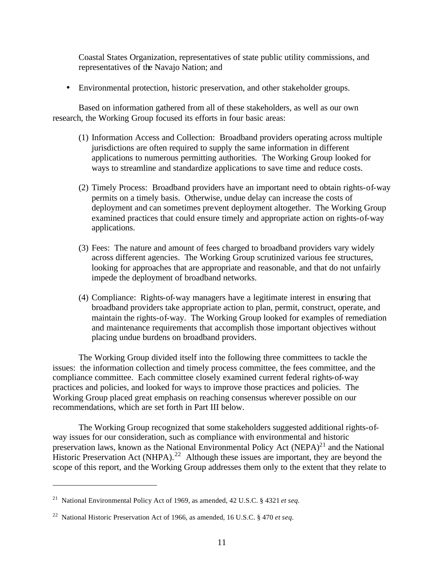Coastal States Organization, representatives of state public utility commissions, and representatives of the Navajo Nation; and

• Environmental protection, historic preservation, and other stakeholder groups.

Based on information gathered from all of these stakeholders, as well as our own research, the Working Group focused its efforts in four basic areas:

- (1) Information Access and Collection: Broadband providers operating across multiple jurisdictions are often required to supply the same information in different applications to numerous permitting authorities. The Working Group looked for ways to streamline and standardize applications to save time and reduce costs.
- (2) Timely Process: Broadband providers have an important need to obtain rights-of-way permits on a timely basis. Otherwise, undue delay can increase the costs of deployment and can sometimes prevent deployment altogether. The Working Group examined practices that could ensure timely and appropriate action on rights-of-way applications.
- (3) Fees: The nature and amount of fees charged to broadband providers vary widely across different agencies. The Working Group scrutinized various fee structures, looking for approaches that are appropriate and reasonable, and that do not unfairly impede the deployment of broadband networks.
- (4) Compliance: Rights-of-way managers have a legitimate interest in ensuring that broadband providers take appropriate action to plan, permit, construct, operate, and maintain the rights-of-way. The Working Group looked for examples of remediation and maintenance requirements that accomplish those important objectives without placing undue burdens on broadband providers.

The Working Group divided itself into the following three committees to tackle the issues: the information collection and timely process committee, the fees committee, and the compliance committee. Each committee closely examined current federal rights-of-way practices and policies, and looked for ways to improve those practices and policies. The Working Group placed great emphasis on reaching consensus wherever possible on our recommendations, which are set forth in Part III below.

The Working Group recognized that some stakeholders suggested additional rights-ofway issues for our consideration, such as compliance with environmental and historic preservation laws, known as the National Environmental Policy Act  $(NEPA)^{21}$  and the National Historic Preservation Act (NHPA).<sup>22</sup> Although these issues are important, they are beyond the scope of this report, and the Working Group addresses them only to the extent that they relate to

<sup>21</sup> National Environmental Policy Act of 1969, as amended, 42 U.S.C. § 4321 *et seq.*

<sup>22</sup> National Historic Preservation Act of 1966, as amended, 16 U.S.C. § 470 *et seq.*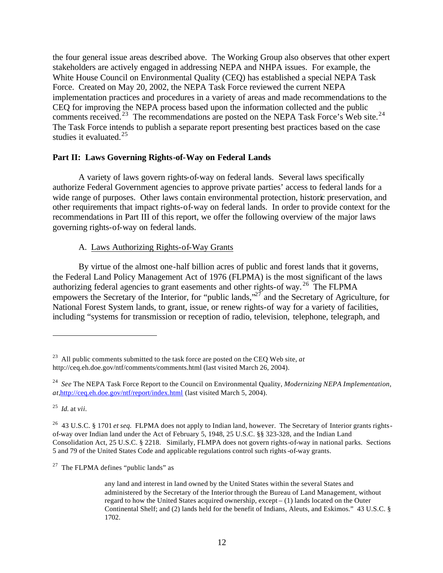the four general issue areas described above. The Working Group also observes that other expert stakeholders are actively engaged in addressing NEPA and NHPA issues. For example, the White House Council on Environmental Quality (CEQ) has established a special NEPA Task Force. Created on May 20, 2002, the NEPA Task Force reviewed the current NEPA implementation practices and procedures in a variety of areas and made recommendations to the CEQ for improving the NEPA process based upon the information collected and the public comments received.<sup>23</sup> The recommendations are posted on the NEPA Task Force's Web site.<sup>24</sup> The Task Force intends to publish a separate report presenting best practices based on the case studies it evaluated. $25$ 

## **Part II: Laws Governing Rights-of-Way on Federal Lands**

A variety of laws govern rights-of-way on federal lands. Several laws specifically authorize Federal Government agencies to approve private parties' access to federal lands for a wide range of purposes. Other laws contain environmental protection, historic preservation, and other requirements that impact rights-of-way on federal lands. In order to provide context for the recommendations in Part III of this report, we offer the following overview of the major laws governing rights-of-way on federal lands.

## A. Laws Authorizing Rights-of-Way Grants

By virtue of the almost one-half billion acres of public and forest lands that it governs, the Federal Land Policy Management Act of 1976 (FLPMA) is the most significant of the laws authorizing federal agencies to grant easements and other rights-of way.<sup>26</sup> The FLPMA empowers the Secretary of the Interior, for "public lands," $2^7$  and the Secretary of Agriculture, for National Forest System lands, to grant, issue, or renew rights-of way for a variety of facilities, including "systems for transmission or reception of radio, television, telephone, telegraph, and

25 *Id.* at *vii.*

 $\overline{a}$ 

 $27$  The FLPMA defines "public lands" as

<sup>23</sup> All public comments submitted to the task force are posted on the CEQ Web site, *at*  http://ceq.eh.doe.gov/ntf/comments/comments.html (last visited March 26, 2004).

<sup>24</sup> *See* The NEPA Task Force Report to the Council on Environmental Quality, *Modernizing NEPA Implementation, at,*http://ceq.eh.doe.gov/ntf/report/index.html (last visited March 5, 2004).

<sup>26</sup> 43 U.S.C. § 1701 *et seq.* FLPMA does not apply to Indian land, however. The Secretary of Interior grants rightsof-way over Indian land under the Act of February 5, 1948, 25 U.S.C. §§ 323-328, and the Indian Land Consolidation Act, 25 U.S.C. § 2218. Similarly, FLMPA does not govern rights-of-way in national parks. Sections 5 and 79 of the United States Code and applicable regulations control such rights-of-way grants.

any land and interest in land owned by the United States within the several States and administered by the Secretary of the Interior through the Bureau of Land Management, without regard to how the United States acquired ownership, except – (1) lands located on the Outer Continental Shelf; and (2) lands held for the benefit of Indians, Aleuts, and Eskimos." 43 U.S.C. § 1702.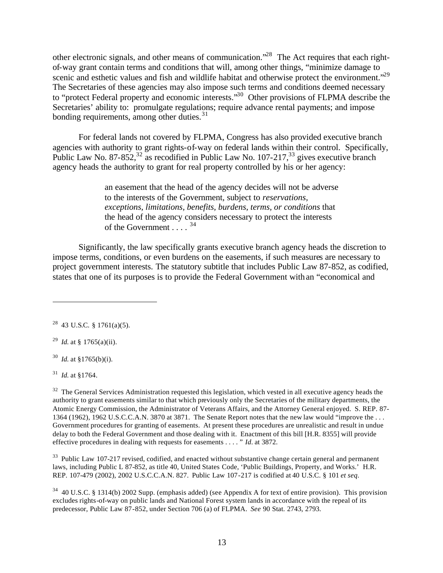other electronic signals, and other means of communication."<sup>28</sup> The Act requires that each rightof-way grant contain terms and conditions that will, among other things, "minimize damage to scenic and esthetic values and fish and wildlife habitat and otherwise protect the environment."<sup>29</sup> The Secretaries of these agencies may also impose such terms and conditions deemed necessary to "protect Federal property and economic interests."<sup>30</sup> Other provisions of FLPMA describe the Secretaries' ability to: promulgate regulations; require advance rental payments; and impose bonding requirements, among other duties. $31$ 

For federal lands not covered by FLPMA, Congress has also provided executive branch agencies with authority to grant rights-of-way on federal lands within their control. Specifically, Public Law No. 87-852,  $32$  as recodified in Public Law No. 107-217,  $33$  gives executive branch agency heads the authority to grant for real property controlled by his or her agency:

> an easement that the head of the agency decides will not be adverse to the interests of the Government, subject to *reservations, exceptions, limitations, benefits, burdens, terms, or conditions* that the head of the agency considers necessary to protect the interests of the Government  $\ldots$   $34$

Significantly, the law specifically grants executive branch agency heads the discretion to impose terms, conditions, or even burdens on the easements, if such measures are necessary to project government interests. The statutory subtitle that includes Public Law 87-852, as codified, states that one of its purposes is to provide the Federal Government withan "economical and

31 *Id.* at §1764.

 $\overline{a}$ 

 $32$  The General Services Administration requested this legislation, which vested in all executive agency heads the authority to grant easements similar to that which previously only the Secretaries of the military departments, the Atomic Energy Commission, the Administrator of Veterans Affairs, and the Attorney General enjoyed. S. REP. 87- 1364 (1962), 1962 U.S.C.C.A.N. 3870 at 3871. The Senate Report notes that the new law would "improve the . . . Government procedures for granting of easements. At present these procedures are unrealistic and result in undue delay to both the Federal Government and those dealing with it. Enactment of this bill [H.R. 8355] will provide effective procedures in dealing with requests for easements . . . . " *Id.* at 3872.

<sup>33</sup> Public Law 107-217 revised, codified, and enacted without substantive change certain general and permanent laws, including Public L 87-852, as title 40, United States Code, 'Public Buildings, Property, and Works.' H.R. REP. 107-479 (2002), 2002 U.S.C.C.A.N. 827. Public Law 107-217 is codified at 40 U.S.C. § 101 *et seq.*

<sup>34</sup> 40 U.S.C. § 1314(b) 2002 Supp. (emphasis added) (see Appendix A for text of entire provision). This provision excludes rights-of-way on public lands and National Forest system lands in accordance with the repeal of its predecessor, Public Law 87-852, under Section 706 (a) of FLPMA. *See* 90 Stat. 2743, 2793.

 $^{28}$  43 U.S.C. § 1761(a)(5).

<sup>&</sup>lt;sup>29</sup> *Id.* at § 1765(a)(ii).

<sup>30</sup> *Id.* at §1765(b)(i).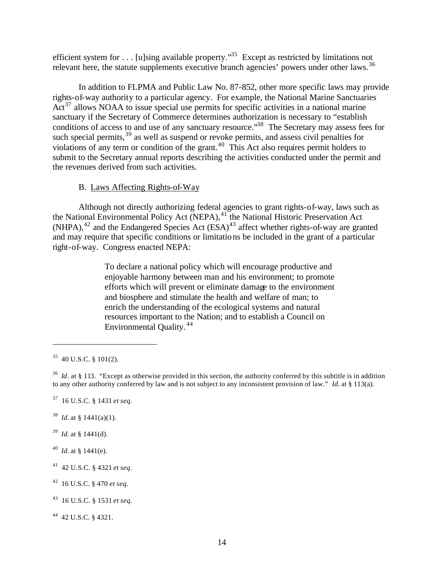efficient system for . . . [u]sing available property."<sup>35</sup> Except as restricted by limitations not relevant here, the statute supplements executive branch agencies' powers under other laws.<sup>36</sup>

In addition to FLPMA and Public Law No. 87-852, other more specific laws may provide rights-of-way authority to a particular agency. For example, the National Marine Sanctuaries  $Act^{37}$  allows NOAA to issue special use permits for specific activities in a national marine sanctuary if the Secretary of Commerce determines authorization is necessary to "establish conditions of access to and use of any sanctuary resource.<sup>38</sup> The Secretary may assess fees for such special permits,<sup>39</sup> as well as suspend or revoke permits, and assess civil penalties for violations of any term or condition of the grant.<sup>40</sup> This Act also requires permit holders to submit to the Secretary annual reports describing the activities conducted under the permit and the revenues derived from such activities.

## B. Laws Affecting Rights-of-Way

Although not directly authorizing federal agencies to grant rights-of-way, laws such as the National Environmental Policy Act (NEPA),<sup>41</sup> the National Historic Preservation Act  $(NHPA)$ ,<sup>42</sup> and the Endangered Species Act  $(ESA)$ <sup>43</sup> affect whether rights-of-way are granted and may require that specific conditions or limitations be included in the grant of a particular right-of-way. Congress enacted NEPA:

> To declare a national policy which will encourage productive and enjoyable harmony between man and his environment; to promote efforts which will prevent or eliminate damage to the environment and biosphere and stimulate the health and welfare of man; to enrich the understanding of the ecological systems and natural resources important to the Nation; and to establish a Council on Environmental Quality.<sup>44</sup>

 $\overline{a}$ 

- <sup>38</sup> *Id.* at § 1441(a)(1).
- $39$  *Id.* at § 1441(d).
- <sup>40</sup> *Id.* at § 1441(e).
- <sup>41</sup> 42 U.S.C. § 4321 *et seq*.
- <sup>42</sup> 16 U.S.C. § 470 *et seq.*
- <sup>43</sup> 16 U.S.C. § 1531 *et seq.*

<sup>44</sup> 42 U.S.C. § 4321.

 $35$  40 U.S.C. § 101(2).

 $36$  *Id*. at § 113. "Except as otherwise provided in this section, the authority conferred by this subtitle is in addition to any other authority conferred by law and is not subject to any inconsistent provision of law." *Id.* at § 113(a).

<sup>37</sup> 16 U.S.C. § 1431 *et seq.*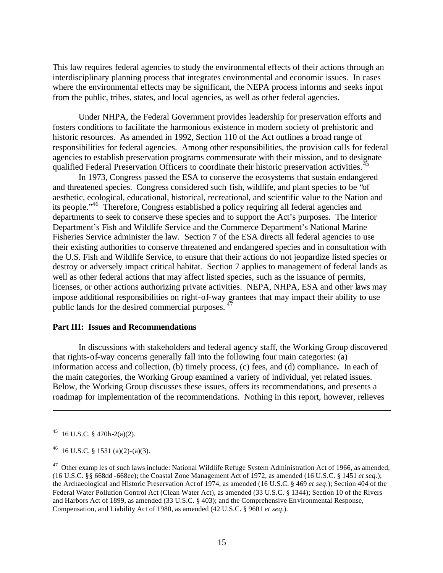This law requires federal agencies to study the environmental effects of their actions through an interdisciplinary planning process that integrates environmental and economic issues. In cases where the environmental effects may be significant, the NEPA process informs and seeks input from the public, tribes, states, and local agencies, as well as other federal agencies.

Under NHPA, the Federal Government provides leadership for preservation efforts and fosters conditions to facilitate the harmonious existence in modern society of prehistoric and historic resources. As amended in 1992, Section 110 of the Act outlines a broad range of responsibilities for federal agencies. Among other responsibilities, the provision calls for federal agencies to establish preservation programs commensurate with their mission, and to designate qualified Federal Preservation Officers to coordinate their historic preservation activities.<sup>45</sup>

In 1973, Congress passed the ESA to conserve the ecosystems that sustain endangered and threatened species. Congress considered such fish, wildlife, and plant species to be "of aesthetic, ecological, educational, historical, recreational, and scientific value to the Nation and its people."<sup>46</sup> Therefore, Congress established a policy requiring all federal agencies and departments to seek to conserve these species and to support the Act's purposes. The Interior Department's Fish and Wildlife Service and the Commerce Department's National Marine Fisheries Service administer the law. Section 7 of the ESA directs all federal agencies to use their existing authorities to conserve threatened and endangered species and in consultation with the U.S. Fish and Wildlife Service, to ensure that their actions do not jeopardize listed species or destroy or adversely impact critical habitat. Section 7 applies to management of federal lands as well as other federal actions that may affect listed species, such as the issuance of permits, licenses, or other actions authorizing private activities. NEPA, NHPA, ESA and other laws may impose additional responsibilities on right-of-way grantees that may impact their ability to use public lands for the desired commercial purposes. <sup>47</sup>

#### **Part III: Issues and Recommendations**

In discussions with stakeholders and federal agency staff, the Working Group discovered that rights-of-way concerns generally fall into the following four main categories: (a) information access and collection, (b) timely process, (c) fees, and (d) compliance**.** In each of the main categories, the Working Group examined a variety of individual, yet related issues. Below, the Working Group discusses these issues, offers its recommendations, and presents a roadmap for implementation of the recommendations.Nothing in this report, however, relieves

 $^{45}$  16 U.S.C. § 470h-2(a)(2).

 $^{46}$  16 U.S.C. § 1531 (a)(2)-(a)(3).

 $^{47}$  Other examp les of such laws include: National Wildlife Refuge System Administration Act of 1966, as amended, (16 U.S.C. §§ 668dd -668ee); the Coastal Zone Management Act of 1972, as amended (16 U.S.C. § 1451 *et seq.*); the Archaeological and Historic Preservation Act of 1974, as amended (16 U.S.C. § 469 *et seq*.); Section 404 of the Federal Water Pollution Control Act (Clean Water Act), as amended (33 U.S.C. § 1344); Section 10 of the Rivers and Harbors Act of 1899, as amended (33 U.S.C. § 403); and the Comprehensive Environmental Response, Compensation, and Liability Act of 1980, as amended (42 U.S.C. § 9601 *et seq*.).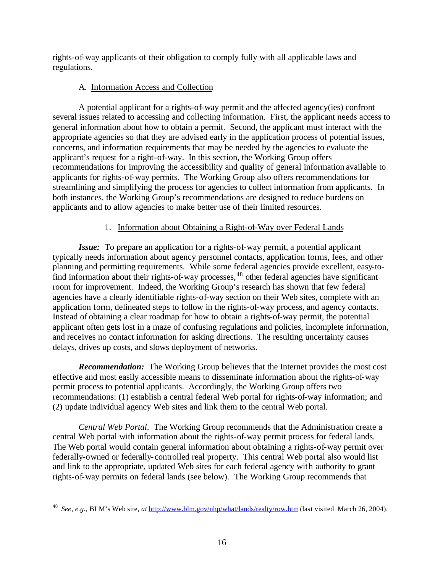rights-of-way applicants of their obligation to comply fully with all applicable laws and regulations.

## A. Information Access and Collection

A potential applicant for a rights-of-way permit and the affected agency(ies) confront several issues related to accessing and collecting information. First, the applicant needs access to general information about how to obtain a permit. Second, the applicant must interact with the appropriate agencies so that they are advised early in the application process of potential issues, concerns, and information requirements that may be needed by the agencies to evaluate the applicant's request for a right-of-way. In this section, the Working Group offers recommendations for improving the accessibility and quality of general information available to applicants for rights-of-way permits. The Working Group also offers recommendations for streamlining and simplifying the process for agencies to collect information from applicants. In both instances, the Working Group's recommendations are designed to reduce burdens on applicants and to allow agencies to make better use of their limited resources.

## 1. Information about Obtaining a Right-of-Way over Federal Lands

*Issue:* To prepare an application for a rights-of-way permit, a potential applicant typically needs information about agency personnel contacts, application forms, fees, and other planning and permitting requirements. While some federal agencies provide excellent, easy-tofind information about their rights-of-way processes,<sup>48</sup> other federal agencies have significant room for improvement. Indeed, the Working Group's research has shown that few federal agencies have a clearly identifiable rights-of-way section on their Web sites, complete with an application form, delineated steps to follow in the rights-of-way process, and agency contacts. Instead of obtaining a clear roadmap for how to obtain a rights-of-way permit, the potential applicant often gets lost in a maze of confusing regulations and policies, incomplete information, and receives no contact information for asking directions. The resulting uncertainty causes delays, drives up costs, and slows deployment of networks.

*Recommendation:* The Working Group believes that the Internet provides the most cost effective and most easily accessible means to disseminate information about the rights-of-way permit process to potential applicants. Accordingly, the Working Group offers two recommendations: (1) establish a central federal Web portal for rights-of-way information; and (2) update individual agency Web sites and link them to the central Web portal.

*Central Web Portal*. The Working Group recommends that the Administration create a central Web portal with information about the rights-of-way permit process for federal lands. The Web portal would contain general information about obtaining a rights-of-way permit over federally-owned or federally-controlled real property. This central Web portal also would list and link to the appropriate, updated Web sites for each federal agency with authority to grant rights-of-way permits on federal lands (see below). The Working Group recommends that

<sup>48</sup> *See, e.g.,* BLM's Web site, *at* http://www.blm.gov/nhp/what/lands/realty/row.htm (last visited March 26, 2004).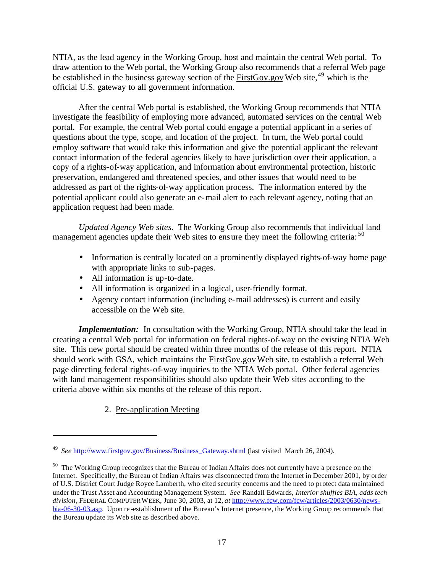NTIA, as the lead agency in the Working Group, host and maintain the central Web portal. To draw attention to the Web portal, the Working Group also recommends that a referral Web page be established in the business gateway section of the FirstGov.gov Web site,  $49$  which is the official U.S. gateway to all government information.

After the central Web portal is established, the Working Group recommends that NTIA investigate the feasibility of employing more advanced, automated services on the central Web portal. For example, the central Web portal could engage a potential applicant in a series of questions about the type, scope, and location of the project. In turn, the Web portal could employ software that would take this information and give the potential applicant the relevant contact information of the federal agencies likely to have jurisdiction over their application, a copy of a rights-of-way application, and information about environmental protection, historic preservation, endangered and threatened species, and other issues that would need to be addressed as part of the rights-of-way application process. The information entered by the potential applicant could also generate an e-mail alert to each relevant agency, noting that an application request had been made.

*Updated Agency Web sites*. The Working Group also recommends that individual land management agencies update their Web sites to ensure they meet the following criteria: <sup>50</sup>

- Information is centrally located on a prominently displayed rights-of-way home page with appropriate links to sub-pages.
- All information is up-to-date.
- All information is organized in a logical, user-friendly format.
- Agency contact information (including e-mail addresses) is current and easily accessible on the Web site.

*Implementation:* In consultation with the Working Group, NTIA should take the lead in creating a central Web portal for information on federal rights-of-way on the existing NTIA Web site. This new portal should be created within three months of the release of this report. NTIA should work with GSA, which maintains the FirstGov.gov Web site, to establish a referral Web page directing federal rights-of-way inquiries to the NTIA Web portal. Other federal agencies with land management responsibilities should also update their Web sites according to the criteria above within six months of the release of this report.

2. Pre-application Meeting

<sup>&</sup>lt;sup>49</sup> See http://www.firstgov.gov/Business/Business\_Gateway.shtml (last visited March 26, 2004).

<sup>&</sup>lt;sup>50</sup> The Working Group recognizes that the Bureau of Indian Affairs does not currently have a presence on the Internet. Specifically, the Bureau of Indian Affairs was disconnected from the Internet in December 2001, by order of U.S. District Court Judge Royce Lamberth, who cited security concerns and the need to protect data maintained under the Trust Asset and Accounting Management System. *See* Randall Edwards, *Interior shuffles BIA, adds tech division*, FEDERAL COMPUTER WEEK, June 30, 2003, at 12, *at* http://www.fcw.com/fcw/articles/2003/0630/newsbia-06-30-03.asp. Upon re -establishment of the Bureau's Internet presence, the Working Group recommends that the Bureau update its Web site as described above.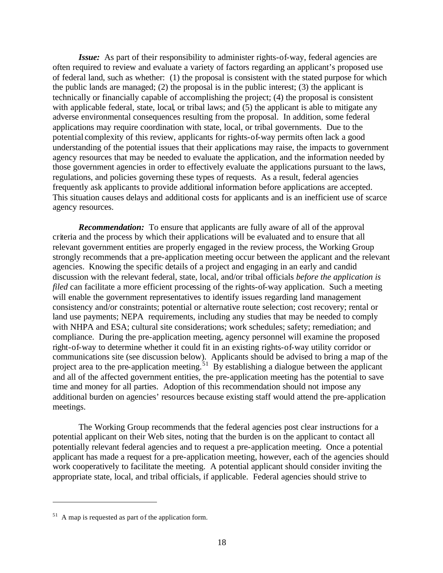*Issue:* As part of their responsibility to administer rights-of-way, federal agencies are often required to review and evaluate a variety of factors regarding an applicant's proposed use of federal land, such as whether: (1) the proposal is consistent with the stated purpose for which the public lands are managed; (2) the proposal is in the public interest; (3) the applicant is technically or financially capable of accomplishing the project; (4) the proposal is consistent with applicable federal, state, local, or tribal laws; and  $(5)$  the applicant is able to mitigate any adverse environmental consequences resulting from the proposal. In addition, some federal applications may require coordination with state, local, or tribal governments. Due to the potential complexity of this review, applicants for rights-of-way permits often lack a good understanding of the potential issues that their applications may raise, the impacts to government agency resources that may be needed to evaluate the application, and the information needed by those government agencies in order to effectively evaluate the applications pursuant to the laws, regulations, and policies governing these types of requests. As a result, federal agencies frequently ask applicants to provide additional information before applications are accepted. This situation causes delays and additional costs for applicants and is an inefficient use of scarce agency resources.

*Recommendation:* To ensure that applicants are fully aware of all of the approval criteria and the process by which their applications will be evaluated and to ensure that all relevant government entities are properly engaged in the review process, the Working Group strongly recommends that a pre-application meeting occur between the applicant and the relevant agencies. Knowing the specific details of a project and engaging in an early and candid discussion with the relevant federal, state, local, and/or tribal officials *before the application is filed* can facilitate a more efficient processing of the rights-of-way application. Such a meeting will enable the government representatives to identify issues regarding land management consistency and/or constraints; potential or alternative route selection; cost recovery; rental or land use payments; NEPA requirements, including any studies that may be needed to comply with NHPA and ESA; cultural site considerations; work schedules; safety; remediation; and compliance. During the pre-application meeting, agency personnel will examine the proposed right-of-way to determine whether it could fit in an existing rights-of-way utility corridor or communications site (see discussion below). Applicants should be advised to bring a map of the project area to the pre-application meeting.<sup>51</sup> By establishing a dialogue between the applicant and all of the affected government entities, the pre-application meeting has the potential to save time and money for all parties.Adoption of this recommendation should not impose any additional burden on agencies' resources because existing staff would attend the pre-application meetings.

The Working Group recommends that the federal agencies post clear instructions for a potential applicant on their Web sites, noting that the burden is on the applicant to contact all potentially relevant federal agencies and to request a pre-application meeting. Once a potential applicant has made a request for a pre-application meeting, however, each of the agencies should work cooperatively to facilitate the meeting. A potential applicant should consider inviting the appropriate state, local, and tribal officials, if applicable. Federal agencies should strive to

 $51$  A map is requested as part of the application form.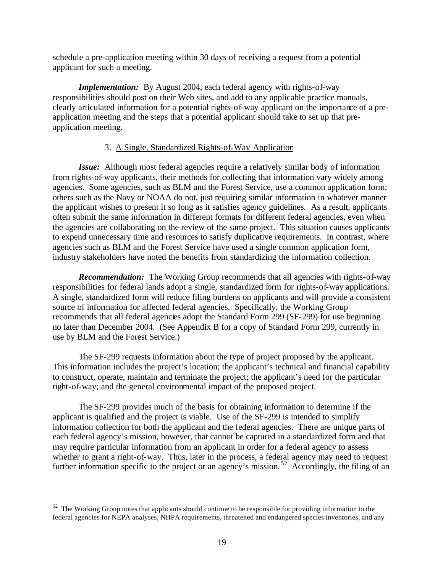schedule a pre-application meeting within 30 days of receiving a request from a potential applicant for such a meeting.

*Implementation:* By August 2004, each federal agency with rights-of-way responsibilities should post on their Web sites, and add to any applicable practice manuals, clearly articulated information for a potential rights-of-way applicant on the importance of a preapplication meeting and the steps that a potential applicant should take to set up that preapplication meeting.

## 3. A Single, Standardized Rights-of-Way Application

*Issue:* Although most federal agencies require a relatively similar body of information from rights-of-way applicants, their methods for collecting that information vary widely among agencies. Some agencies, such as BLM and the Forest Service, use a common application form; others such as the Navy or NOAA do not, just requiring similar information in whatever manner the applicant wishes to present it so long as it satisfies agency guidelines. As a result, applicants often submit the same information in different formats for different federal agencies, even when the agencies are collaborating on the review of the same project. This situation causes applicants to expend unnecessary time and resources to satisfy duplicative requirements. In contrast, where agencies such as BLM and the Forest Service have used a single common application form, industry stakeholders have noted the benefits from standardizing the information collection.

*Recommendation:* The Working Group recommends that all agencies with rights-of-way responsibilities for federal lands adopt a single, standardized form for rights-of-way applications. A single, standardized form will reduce filing burdens on applicants and will provide a consistent source of information for affected federal agencies. Specifically, the Working Group recommends that all federal agencies adopt the Standard Form 299 (SF-299) for use beginning no later than December 2004. (See Appendix B for a copy of Standard Form 299, currently in use by BLM and the Forest Service.)

The SF-299 requests information about the type of project proposed by the applicant. This information includes the project's location; the applicant's technical and financial capability to construct, operate, maintain and terminate the project; the applicant's need for the particular right-of-way; and the general environmental impact of the proposed project.

The SF-299 provides much of the basis for obtaining information to determine if the applicant is qualified and the project is viable. Use of the SF-299 is intended to simplify information collection for both the applicant and the federal agencies. There are unique parts of each federal agency's mission, however, that cannot be captured in a standardized form and that may require particular information from an applicant in order for a federal agency to assess whether to grant a right-of-way. Thus, later in the process, a federal agency may need to request further information specific to the project or an agency's mission.<sup>52</sup> Accordingly, the filing of an

<sup>&</sup>lt;sup>52</sup> The Working Group notes that applicants should continue to be responsible for providing information to the federal agencies for NEPA analyses, NHPA requirements, threatened and endangered species inventories, and any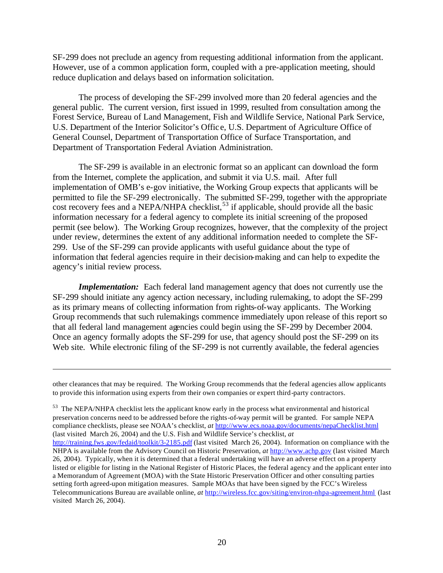SF-299 does not preclude an agency from requesting additional information from the applicant. However, use of a common application form, coupled with a pre-application meeting, should reduce duplication and delays based on information solicitation.

The process of developing the SF-299 involved more than 20 federal agencies and the general public. The current version, first issued in 1999, resulted from consultation among the Forest Service, Bureau of Land Management, Fish and Wildlife Service, National Park Service, U.S. Department of the Interior Solicitor's Offic e, U.S. Department of Agriculture Office of General Counsel, Department of Transportation Office of Surface Transportation, and Department of Transportation Federal Aviation Administration.

The SF-299 is available in an electronic format so an applicant can download the form from the Internet, complete the application, and submit it via U.S. mail. After full implementation of OMB's e-gov initiative, the Working Group expects that applicants will be permitted to file the SF-299 electronically. The submitted SF-299, together with the appropriate cost recovery fees and a NEPA/NHPA checklist,  $53$  if applicable, should provide all the basic information necessary for a federal agency to complete its initial screening of the proposed permit (see below). The Working Group recognizes, however, that the complexity of the project under review, determines the extent of any additional information needed to complete the SF-299. Use of the SF-299 can provide applicants with useful guidance about the type of information that federal agencies require in their decision-making and can help to expedite the agency's initial review process.

*Implementation:* Each federal land management agency that does not currently use the SF-299 should initiate any agency action necessary, including rulemaking, to adopt the SF-299 as its primary means of collecting information from rights-of-way applicants. The Working Group recommends that such rulemakings commence immediately upon release of this report so that all federal land management agencies could begin using the SF-299 by December 2004. Once an agency formally adopts the SF-299 for use, that agency should post the SF-299 on its Web site. While electronic filing of the SF-299 is not currently available, the federal agencies

 $\overline{a}$ 

<sup>53</sup> The NEPA/NHPA checklist lets the applicant know early in the process what environmental and historical preservation concerns need to be addressed before the rights-of-way permit will be granted. For sample NEPA compliance checklists, please see NOAA's checklist, *at* http://www.ecs.noaa.gov/documents/nepaChecklist.html (last visited March 26, 2004) and the U.S. Fish and Wildlife Service's checklist, *at*  http://training.fws.gov/fedaid/toolkit/3-2185.pdf (last visited March 26, 2004). Information on compliance with the NHPA is available from the Advisory Council on Historic Preservation, *at* http://www.achp.gov (last visited March 26, 2004). Typically, when it is determined that a federal undertaking will have an adverse effect on a property listed or eligible for listing in the National Register of Historic Places, the federal agency and the applicant enter into a Memorandum of Agreement (MOA) with the State Historic Preservation Officer and other consulting parties setting forth agreed-upon mitigation measures. Sample MOAs that have been signed by the FCC's Wireless Telecommunications Bureau are available online, *at* http://wireless.fcc.gov/siting/environ-nhpa-agreement.html (last visited March 26, 2004).

other clearances that may be required. The Working Group recommends that the federal agencies allow applicants to provide this information using experts from their own companies or expert third-party contractors.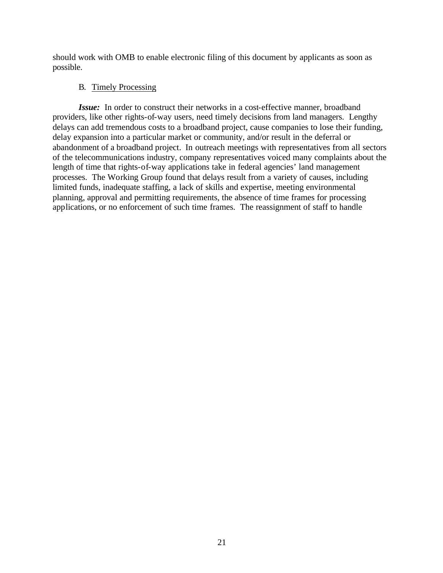should work with OMB to enable electronic filing of this document by applicants as soon as possible.

## B. Timely Processing

*Issue:* In order to construct their networks in a cost-effective manner, broadband providers, like other rights-of-way users, need timely decisions from land managers. Lengthy delays can add tremendous costs to a broadband project, cause companies to lose their funding, delay expansion into a particular market or community, and/or result in the deferral or abandonment of a broadband project. In outreach meetings with representatives from all sectors of the telecommunications industry, company representatives voiced many complaints about the length of time that rights-of-way applications take in federal agencies' land management processes. The Working Group found that delays result from a variety of causes, including limited funds, inadequate staffing, a lack of skills and expertise, meeting environmental planning, approval and permitting requirements, the absence of time frames for processing applications, or no enforcement of such time frames. The reassignment of staff to handle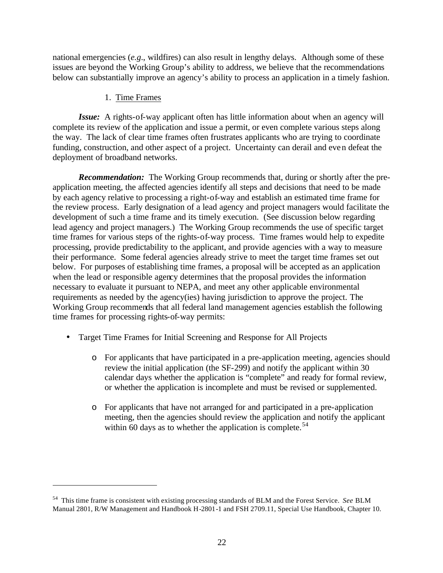national emergencies (*e.g*., wildfires) can also result in lengthy delays. Although some of these issues are beyond the Working Group's ability to address, we believe that the recommendations below can substantially improve an agency's ability to process an application in a timely fashion.

## 1. Time Frames

 $\overline{a}$ 

*Issue:* A rights-of-way applicant often has little information about when an agency will complete its review of the application and issue a permit, or even complete various steps along the way. The lack of clear time frames often frustrates applicants who are trying to coordinate funding, construction, and other aspect of a project. Uncertainty can derail and even defeat the deployment of broadband networks.

*Recommendation:* The Working Group recommends that, during or shortly after the preapplication meeting, the affected agencies identify all steps and decisions that need to be made by each agency relative to processing a right-of-way and establish an estimated time frame for the review process. Early designation of a lead agency and project managers would facilitate the development of such a time frame and its timely execution. (See discussion below regarding lead agency and project managers.) The Working Group recommends the use of specific target time frames for various steps of the rights-of-way process. Time frames would help to expedite processing, provide predictability to the applicant, and provide agencies with a way to measure their performance. Some federal agencies already strive to meet the target time frames set out below. For purposes of establishing time frames, a proposal will be accepted as an application when the lead or responsible agency determines that the proposal provides the information necessary to evaluate it pursuant to NEPA, and meet any other applicable environmental requirements as needed by the agency(ies) having jurisdiction to approve the project. The Working Group recommends that all federal land management agencies establish the following time frames for processing rights-of-way permits:

- Target Time Frames for Initial Screening and Response for All Projects
	- o For applicants that have participated in a pre-application meeting, agencies should review the initial application (the SF-299) and notify the applicant within 30 calendar days whether the application is "complete" and ready for formal review, or whether the application is incomplete and must be revised or supplemented.
	- o For applicants that have not arranged for and participated in a pre-application meeting, then the agencies should review the application and notify the applicant within 60 days as to whether the application is complete.<sup>54</sup>

<sup>54</sup> This time frame is consistent with existing processing standards of BLM and the Forest Service. *See* BLM Manual 2801, R/W Management and Handbook H-2801-1 and FSH 2709.11, Special Use Handbook, Chapter 10.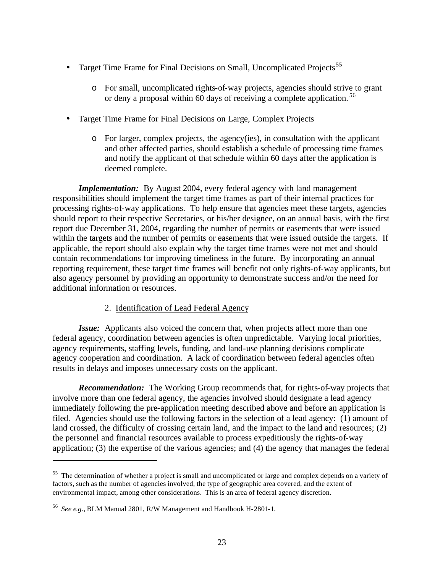- Target Time Frame for Final Decisions on Small, Uncomplicated Projects<sup>55</sup>
	- o For small, uncomplicated rights-of-way projects, agencies should strive to grant or deny a proposal within 60 days of receiving a complete application. <sup>56</sup>
- Target Time Frame for Final Decisions on Large, Complex Projects
	- o For larger, complex projects, the agency(ies), in consultation with the applicant and other affected parties, should establish a schedule of processing time frames and notify the applicant of that schedule within 60 days after the application is deemed complete.

*Implementation:* By August 2004, every federal agency with land management responsibilities should implement the target time frames as part of their internal practices for processing rights-of-way applications. To help ensure that agencies meet these targets, agencies should report to their respective Secretaries, or his/her designee, on an annual basis, with the first report due December 31, 2004, regarding the number of permits or easements that were issued within the targets and the number of permits or easements that were issued outside the targets. If applicable, the report should also explain why the target time frames were not met and should contain recommendations for improving timeliness in the future. By incorporating an annual reporting requirement, these target time frames will benefit not only rights-of-way applicants, but also agency personnel by providing an opportunity to demonstrate success and/or the need for additional information or resources.

## 2. Identification of Lead Federal Agency

*Issue:* Applicants also voiced the concern that, when projects affect more than one federal agency, coordination between agencies is often unpredictable. Varying local priorities, agency requirements, staffing levels, funding, and land-use planning decisions complicate agency cooperation and coordination. A lack of coordination between federal agencies often results in delays and imposes unnecessary costs on the applicant.

*Recommendation:* The Working Group recommends that, for rights-of-way projects that involve more than one federal agency, the agencies involved should designate a lead agency immediately following the pre-application meeting described above and before an application is filed. Agencies should use the following factors in the selection of a lead agency: (1) amount of land crossed, the difficulty of crossing certain land, and the impact to the land and resources; (2) the personnel and financial resources available to process expeditiously the rights-of-way application; (3) the expertise of the various agencies; and (4) the agency that manages the federal

<sup>&</sup>lt;sup>55</sup> The determination of whether a project is small and uncomplicated or large and complex depends on a variety of factors, such as the number of agencies involved, the type of geographic area covered, and the extent of environmental impact, among other considerations. This is an area of federal agency discretion.

<sup>56</sup> *See e.g*., BLM Manual 2801, R/W Management and Handbook H-2801-1.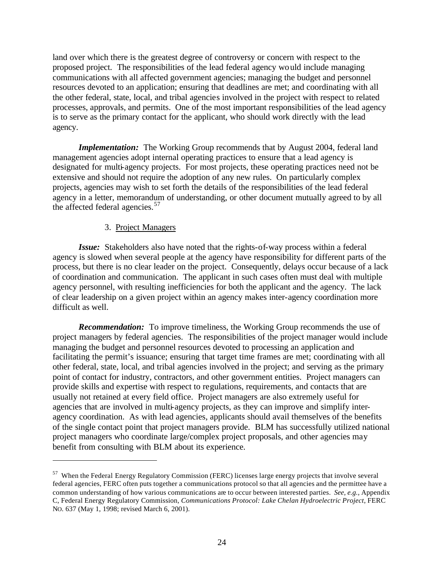land over which there is the greatest degree of controversy or concern with respect to the proposed project. The responsibilities of the lead federal agency would include managing communications with all affected government agencies; managing the budget and personnel resources devoted to an application; ensuring that deadlines are met; and coordinating with all the other federal, state, local, and tribal agencies involved in the project with respect to related processes, approvals, and permits. One of the most important responsibilities of the lead agency is to serve as the primary contact for the applicant, who should work directly with the lead agency.

*Implementation:* The Working Group recommends that by August 2004, federal land management agencies adopt internal operating practices to ensure that a lead agency is designated for multi-agency projects. For most projects, these operating practices need not be extensive and should not require the adoption of any new rules. On particularly complex projects, agencies may wish to set forth the details of the responsibilities of the lead federal agency in a letter, memorandum of understanding, or other document mutually agreed to by all the affected federal agencies.<sup>57</sup>

#### 3. Project Managers

 $\overline{a}$ 

*Issue:* Stakeholders also have noted that the rights-of-way process within a federal agency is slowed when several people at the agency have responsibility for different parts of the process, but there is no clear leader on the project. Consequently, delays occur because of a lack of coordination and communication. The applicant in such cases often must deal with multiple agency personnel, with resulting inefficiencies for both the applicant and the agency. The lack of clear leadership on a given project within an agency makes inter-agency coordination more difficult as well.

*Recommendation:* To improve timeliness, the Working Group recommends the use of project managers by federal agencies. The responsibilities of the project manager would include managing the budget and personnel resources devoted to processing an application and facilitating the permit's issuance; ensuring that target time frames are met; coordinating with all other federal, state, local, and tribal agencies involved in the project; and serving as the primary point of contact for industry, contractors, and other government entities. Project managers can provide skills and expertise with respect to regulations, requirements, and contacts that are usually not retained at every field office. Project managers are also extremely useful for agencies that are involved in multi-agency projects, as they can improve and simplify interagency coordination. As with lead agencies, applicants should avail themselves of the benefits of the single contact point that project managers provide. BLM has successfully utilized national project managers who coordinate large/complex project proposals, and other agencies may benefit from consulting with BLM about its experience.

<sup>&</sup>lt;sup>57</sup> When the Federal Energy Regulatory Commission (FERC) licenses large energy projects that involve several federal agencies, FERC often puts together a communications protocol so that all agencies and the permittee have a common understanding of how various communications are to occur between interested parties. *See, e.g.,* Appendix C, Federal Energy Regulatory Commission, *Communications Protocol: Lake Chelan Hydroelectric Project*, FERC NO. 637 (May 1, 1998; revised March 6, 2001).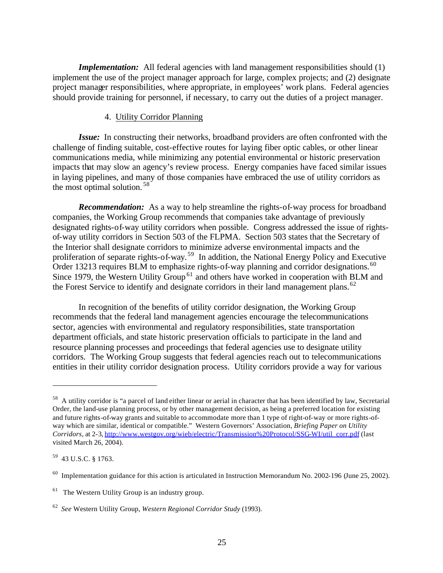*Implementation:* All federal agencies with land management responsibilities should (1) implement the use of the project manager approach for large, complex projects; and (2) designate project manager responsibilities, where appropriate, in employees' work plans. Federal agencies should provide training for personnel, if necessary, to carry out the duties of a project manager.

### 4. Utility Corridor Planning

*Issue:* In constructing their networks, broadband providers are often confronted with the challenge of finding suitable, cost-effective routes for laying fiber optic cables, or other linear communications media, while minimizing any potential environmental or historic preservation impacts that may slow an agency's review process. Energy companies have faced similar issues in laying pipelines, and many of those companies have embraced the use of utility corridors as the most optimal solution.<sup>58</sup>

*Recommendation:* As a way to help streamline the rights-of-way process for broadband companies, the Working Group recommends that companies take advantage of previously designated rights-of-way utility corridors when possible. Congress addressed the issue of rightsof-way utility corridors in Section 503 of the FLPMA. Section 503 states that the Secretary of the Interior shall designate corridors to minimize adverse environmental impacts and the proliferation of separate rights-of-way. <sup>59</sup> In addition, the National Energy Policy and Executive Order 13213 requires BLM to emphasize rights-of-way planning and corridor designations.<sup>60</sup> Since 1979, the Western Utility Group<sup>61</sup> and others have worked in cooperation with BLM and the Forest Service to identify and designate corridors in their land management plans.<sup>62</sup>

In recognition of the benefits of utility corridor designation, the Working Group recommends that the federal land management agencies encourage the telecommunications sector, agencies with environmental and regulatory responsibilities, state transportation department officials, and state historic preservation officials to participate in the land and resource planning processes and proceedings that federal agencies use to designate utility corridors. The Working Group suggests that federal agencies reach out to telecommunications entities in their utility corridor designation process. Utility corridors provide a way for various

<sup>58</sup> A utility corridor is "a parcel of land either linear or aerial in character that has been identified by law, Secretarial Order, the land-use planning process, or by other management decision, as being a preferred location for existing and future rights-of-way grants and suitable to accommodate more than 1 type of right-of-way or more rights-ofway which are similar, identical or compatible." Western Governors' Association, *Briefing Paper on Utility Corridors*, at 2-3, http://www.westgov.org/wieb/electric/Transmission%20Protocol/SSG-WI/util\_corr.pdf (last visited March 26, 2004).

<sup>59</sup> 43 U.S.C. § 1763.

 $^{60}$  Implementation guidance for this action is articulated in Instruction Memorandum No. 2002-196 (June 25, 2002).

 $61$  The Western Utility Group is an industry group.

<sup>62</sup> *See* Western Utility Group, *Western Regional Corridor Study* (1993).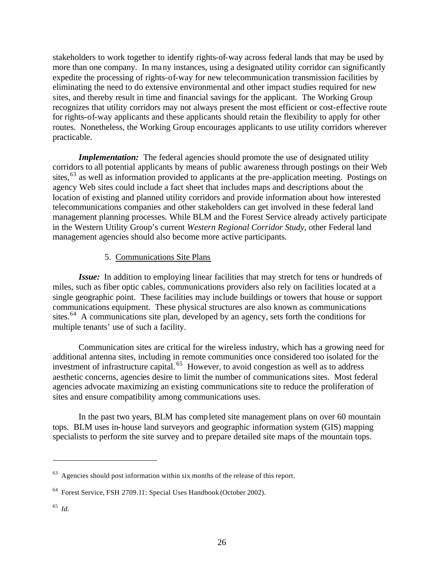stakeholders to work together to identify rights-of-way across federal lands that may be used by more than one company. In many instances, using a designated utility corridor can significantly expedite the processing of rights-of-way for new telecommunication transmission facilities by eliminating the need to do extensive environmental and other impact studies required for new sites, and thereby result in time and financial savings for the applicant. The Working Group recognizes that utility corridors may not always present the most efficient or cost-effective route for rights-of-way applicants and these applicants should retain the flexibility to apply for other routes. Nonetheless, the Working Group encourages applicants to use utility corridors wherever practicable.

*Implementation:* The federal agencies should promote the use of designated utility corridors to all potential applicants by means of public awareness through postings on their Web sites,<sup>63</sup> as well as information provided to applicants at the pre-application meeting. Postings on agency Web sites could include a fact sheet that includes maps and descriptions about the location of existing and planned utility corridors and provide information about how interested telecommunications companies and other stakeholders can get involved in these federal land management planning processes. While BLM and the Forest Service already actively participate in the Western Utility Group's current *Western Regional Corridor Study*, other Federal land management agencies should also become more active participants*.*

#### 5. Communications Site Plans

*Issue:* In addition to employing linear facilities that may stretch for tens or hundreds of miles, such as fiber optic cables, communications providers also rely on facilities located at a single geographic point. These facilities may include buildings or towers that house or support communications equipment. These physical structures are also known as communications sites.<sup>64</sup> A communications site plan, developed by an agency, sets forth the conditions for multiple tenants' use of such a facility.

Communication sites are critical for the wireless industry, which has a growing need for additional antenna sites, including in remote communities once considered too isolated for the investment of infrastructure capital. <sup>65</sup> However, to avoid congestion as well as to address aesthetic concerns, agencies desire to limit the number of communications sites. Most federal agencies advocate maximizing an existing communications site to reduce the proliferation of sites and ensure compatibility among communications uses.

In the past two years, BLM has completed site management plans on over 60 mountain tops. BLM uses in-house land surveyors and geographic information system (GIS) mapping specialists to perform the site survey and to prepare detailed site maps of the mountain tops.

65 *Id.*

 $63$  Agencies should post information within six months of the release of this report.

<sup>64</sup> Forest Service, FSH 2709.11: Special Uses Handbook (October 2002).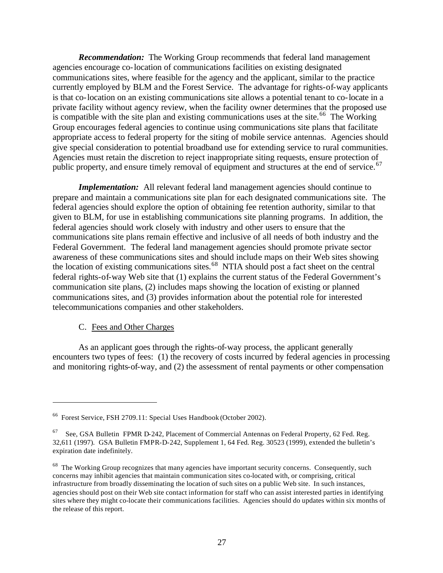*Recommendation:* The Working Group recommends that federal land management agencies encourage co-location of communications facilities on existing designated communications sites, where feasible for the agency and the applicant, similar to the practice currently employed by BLM and the Forest Service. The advantage for rights-of-way applicants is that co-location on an existing communications site allows a potential tenant to co-locate in a private facility without agency review, when the facility owner determines that the proposed use is compatible with the site plan and existing communications uses at the site.<sup>66</sup> The Working Group encourages federal agencies to continue using communications site plans that facilitate appropriate access to federal property for the siting of mobile service antennas. Agencies should give special consideration to potential broadband use for extending service to rural communities. Agencies must retain the discretion to reject inappropriate siting requests, ensure protection of public property, and ensure timely removal of equipment and structures at the end of service.<sup>67</sup>

*Implementation:* All relevant federal land management agencies should continue to prepare and maintain a communications site plan for each designated communications site. The federal agencies should explore the option of obtaining fee retention authority, similar to that given to BLM, for use in establishing communications site planning programs. In addition, the federal agencies should work closely with industry and other users to ensure that the communications site plans remain effective and inclusive of all needs of both industry and the Federal Government. The federal land management agencies should promote private sector awareness of these communications sites and should include maps on their Web sites showing the location of existing communications sites.<sup>68</sup> NTIA should post a fact sheet on the central federal rights-of-way Web site that (1) explains the current status of the Federal Government's communication site plans, (2) includes maps showing the location of existing or planned communications sites, and (3) provides information about the potential role for interested telecommunications companies and other stakeholders.

#### C. Fees and Other Charges

 $\overline{a}$ 

As an applicant goes through the rights-of-way process, the applicant generally encounters two types of fees: (1) the recovery of costs incurred by federal agencies in processing and monitoring rights-of-way, and (2) the assessment of rental payments or other compensation

<sup>66</sup> Forest Service, FSH 2709.11: Special Uses Handbook (October 2002).

 $67$  See, GSA Bulletin FPMR D-242, Placement of Commercial Antennas on Federal Property, 62 Fed. Reg. 32,611 (1997). GSA Bulletin FMPR-D-242, Supplement 1, 64 Fed. Reg. 30523 (1999), extended the bulletin's expiration date indefinitely.

<sup>&</sup>lt;sup>68</sup> The Working Group recognizes that many agencies have important security concerns. Consequently, such concerns may inhibit agencies that maintain communication sites co-located with, or comprising, critical infrastructure from broadly disseminating the location of such sites on a public Web site. In such instances, agencies should post on their Web site contact information for staff who can assist interested parties in identifying sites where they might co-locate their communications facilities. Agencies should do updates within six months of the release of this report.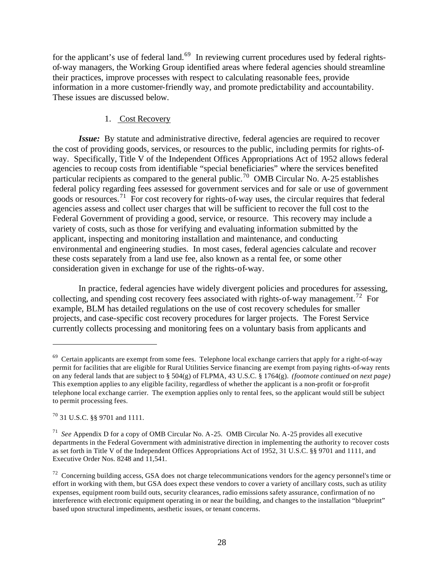for the applicant's use of federal land.<sup>69</sup> In reviewing current procedures used by federal rightsof-way managers, the Working Group identified areas where federal agencies should streamline their practices, improve processes with respect to calculating reasonable fees, provide information in a more customer-friendly way, and promote predictability and accountability. These issues are discussed below.

## 1. Cost Recovery

*Issue:* By statute and administrative directive, federal agencies are required to recover the cost of providing goods, services, or resources to the public, including permits for rights-ofway. Specifically, Title V of the Independent Offices Appropriations Act of 1952 allows federal agencies to recoup costs from identifiable "special beneficiaries" where the services benefited particular recipients as compared to the general public.<sup>70</sup> OMB Circular No. A-25 establishes federal policy regarding fees assessed for government services and for sale or use of government goods or resources.<sup>71</sup> For cost recovery for rights-of-way uses, the circular requires that federal agencies assess and collect user charges that will be sufficient to recover the full cost to the Federal Government of providing a good, service, or resource. This recovery may include a variety of costs, such as those for verifying and evaluating information submitted by the applicant, inspecting and monitoring installation and maintenance, and conducting environmental and engineering studies. In most cases, federal agencies calculate and recover these costs separately from a land use fee, also known as a rental fee, or some other consideration given in exchange for use of the rights-of-way.

In practice, federal agencies have widely divergent policies and procedures for assessing, collecting, and spending cost recovery fees associated with rights-of-way management.<sup>72</sup> For example, BLM has detailed regulations on the use of cost recovery schedules for smaller projects, and case-specific cost recovery procedures for larger projects. The Forest Service currently collects processing and monitoring fees on a voluntary basis from applicants and

 $69$  Certain applicants are exempt from some fees. Telephone local exchange carriers that apply for a right-of-way permit for facilities that are eligible for Rural Utilities Service financing are exempt from paying rights-of-way rents on any federal lands that are subject to § 504(g) of FLPMA, 43 U.S.C. § 1764(g). *(footnote continued on next page)* This exemption applies to any eligible facility, regardless of whether the applicant is a non-profit or for-profit telephone local exchange carrier. The exemption applies only to rental fees, so the applicant would still be subject to permit processing fees.

<sup>70</sup> 31 U.S.C. §§ 9701 and 1111.

<sup>71</sup> *See* Appendix D for a copy of OMB Circular No. A-25. OMB Circular No. A-25 provides all executive departments in the Federal Government with administrative direction in implementing the authority to recover costs as set forth in Title V of the Independent Offices Appropriations Act of 1952, 31 U.S.C. §§ 9701 and 1111, and Executive Order Nos. 8248 and 11,541.

 $72$  Concerning building access, GSA does not charge telecommunications vendors for the agency personnel's time or effort in working with them, but GSA does expect these vendors to cover a variety of ancillary costs, such as utility expenses, equipment room build outs, security clearances, radio emissions safety assurance, confirmation of no interference with electronic equipment operating in or near the building, and changes to the installation "blueprint" based upon structural impediments, aesthetic issues, or tenant concerns.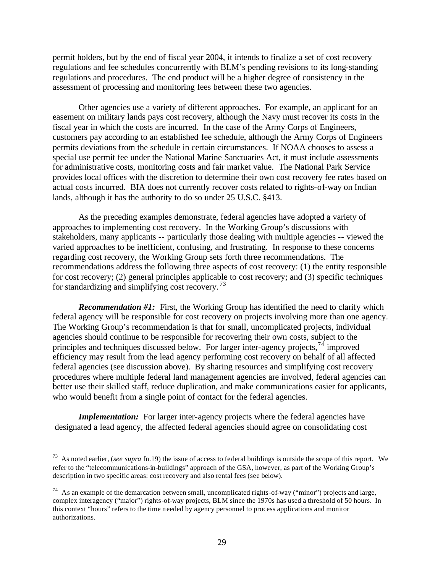permit holders, but by the end of fiscal year 2004, it intends to finalize a set of cost recovery regulations and fee schedules concurrently with BLM's pending revisions to its long-standing regulations and procedures. The end product will be a higher degree of consistency in the assessment of processing and monitoring fees between these two agencies.

Other agencies use a variety of different approaches. For example, an applicant for an easement on military lands pays cost recovery, although the Navy must recover its costs in the fiscal year in which the costs are incurred. In the case of the Army Corps of Engineers, customers pay according to an established fee schedule, although the Army Corps of Engineers permits deviations from the schedule in certain circumstances. If NOAA chooses to assess a special use permit fee under the National Marine Sanctuaries Act, it must include assessments for administrative costs, monitoring costs and fair market value. The National Park Service provides local offices with the discretion to determine their own cost recovery fee rates based on actual costs incurred. BIA does not currently recover costs related to rights-of-way on Indian lands, although it has the authority to do so under 25 U.S.C. §413.

As the preceding examples demonstrate, federal agencies have adopted a variety of approaches to implementing cost recovery. In the Working Group's discussions with stakeholders, many applicants -- particularly those dealing with multiple agencies -- viewed the varied approaches to be inefficient, confusing, and frustrating. In response to these concerns regarding cost recovery, the Working Group sets forth three recommendations. The recommendations address the following three aspects of cost recovery: (1) the entity responsible for cost recovery; (2) general principles applicable to cost recovery; and (3) specific techniques for standardizing and simplifying cost recovery. <sup>73</sup>

*Recommendation #1:* First, the Working Group has identified the need to clarify which federal agency will be responsible for cost recovery on projects involving more than one agency. The Working Group's recommendation is that for small, uncomplicated projects, individual agencies should continue to be responsible for recovering their own costs, subject to the principles and techniques discussed below. For larger inter-agency projects,  $^{74}$  improved efficiency may result from the lead agency performing cost recovery on behalf of all affected federal agencies (see discussion above). By sharing resources and simplifying cost recovery procedures where multiple federal land management agencies are involved, federal agencies can better use their skilled staff, reduce duplication, and make communications easier for applicants, who would benefit from a single point of contact for the federal agencies.

*Implementation:* For larger inter-agency projects where the federal agencies have designated a lead agency, the affected federal agencies should agree on consolidating cost

<sup>73</sup> As noted earlier, (*see supra* fn.19) the issue of access to federal buildings is outside the scope of this report. We refer to the "telecommunications-in-buildings" approach of the GSA, however, as part of the Working Group's description in two specific areas: cost recovery and also rental fees (see below).

 $74$  As an example of the demarcation between small, uncomplicated rights-of-way ("minor") projects and large, complex interagency ("major") rights-of-way projects, BLM since the 1970s has used a threshold of 50 hours. In this context "hours" refers to the time needed by agency personnel to process applications and monitor authorizations.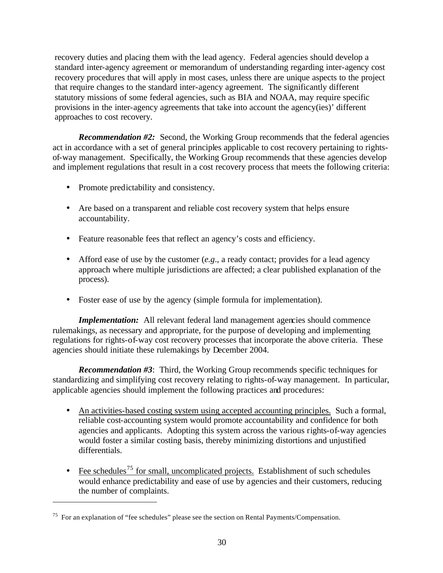recovery duties and placing them with the lead agency. Federal agencies should develop a standard inter-agency agreement or memorandum of understanding regarding inter-agency cost recovery procedures that will apply in most cases, unless there are unique aspects to the project that require changes to the standard inter-agency agreement. The significantly different statutory missions of some federal agencies, such as BIA and NOAA, may require specific provisions in the inter-agency agreements that take into account the agency(ies)' different approaches to cost recovery.

*Recommendation #2:* Second, the Working Group recommends that the federal agencies act in accordance with a set of general principles applicable to cost recovery pertaining to rightsof-way management. Specifically, the Working Group recommends that these agencies develop and implement regulations that result in a cost recovery process that meets the following criteria:

- Promote predictability and consistency.
- Are based on a transparent and reliable cost recovery system that helps ensure accountability.
- Feature reasonable fees that reflect an agency's costs and efficiency.
- Afford ease of use by the customer (*e.g.*, a ready contact; provides for a lead agency approach where multiple jurisdictions are affected; a clear published explanation of the process).
- Foster ease of use by the agency (simple formula for implementation).

*Implementation:* All relevant federal land management agencies should commence rulemakings, as necessary and appropriate, for the purpose of developing and implementing regulations for rights-of-way cost recovery processes that incorporate the above criteria. These agencies should initiate these rulemakings by December 2004.

*Recommendation #3*: Third, the Working Group recommends specific techniques for standardizing and simplifying cost recovery relating to rights-of-way management. In particular, applicable agencies should implement the following practices and procedures:

- An activities-based costing system using accepted accounting principles. Such a formal, reliable cost-accounting system would promote accountability and confidence for both agencies and applicants. Adopting this system across the various rights-of-way agencies would foster a similar costing basis, thereby minimizing distortions and unjustified differentials.
- Fee schedules<sup>75</sup> for small, uncomplicated projects. Establishment of such schedules would enhance predictability and ease of use by agencies and their customers, reducing the number of complaints.

<sup>&</sup>lt;sup>75</sup> For an explanation of "fee schedules" please see the section on Rental Payments/Compensation.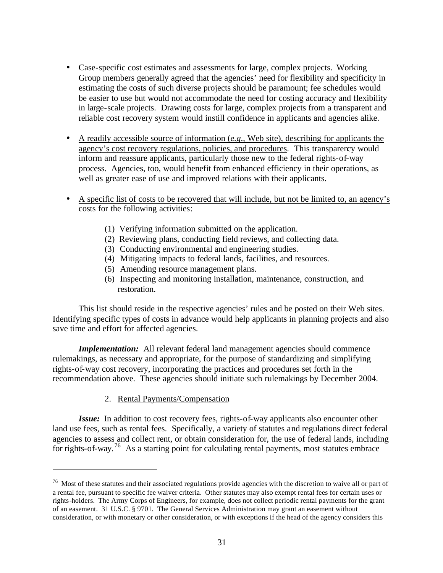- Case-specific cost estimates and assessments for large, complex projects. Working Group members generally agreed that the agencies' need for flexibility and specificity in estimating the costs of such diverse projects should be paramount; fee schedules would be easier to use but would not accommodate the need for costing accuracy and flexibility in large-scale projects. Drawing costs for large, complex projects from a transparent and reliable cost recovery system would instill confidence in applicants and agencies alike.
- A readily accessible source of information (*e.g*., Web site), describing for applicants the agency's cost recovery regulations, policies, and procedures. This transparency would inform and reassure applicants, particularly those new to the federal rights-of-way process. Agencies, too, would benefit from enhanced efficiency in their operations, as well as greater ease of use and improved relations with their applicants.
- A specific list of costs to be recovered that will include, but not be limited to, an agency's costs for the following activities:
	- (1) Verifying information submitted on the application.
	- (2) Reviewing plans, conducting field reviews, and collecting data.
	- (3) Conducting environmental and engineering studies.
	- (4) Mitigating impacts to federal lands, facilities, and resources.
	- (5) Amending resource management plans.
	- (6) Inspecting and monitoring installation, maintenance, construction, and restoration.

This list should reside in the respective agencies' rules and be posted on their Web sites. Identifying specific types of costs in advance would help applicants in planning projects and also save time and effort for affected agencies.

*Implementation:* All relevant federal land management agencies should commence rulemakings, as necessary and appropriate, for the purpose of standardizing and simplifying rights-of-way cost recovery, incorporating the practices and procedures set forth in the recommendation above. These agencies should initiate such rulemakings by December 2004.

2. Rental Payments/Compensation

 $\overline{a}$ 

*Issue:*In addition to cost recovery fees, rights-of-way applicants also encounter other land use fees, such as rental fees. Specifically, a variety of statutes and regulations direct federal agencies to assess and collect rent, or obtain consideration for, the use of federal lands, including for rights-of-way.<sup>76</sup> As a starting point for calculating rental payments, most statutes embrace

 $76$  Most of these statutes and their associated regulations provide agencies with the discretion to waive all or part of a rental fee, pursuant to specific fee waiver criteria. Other statutes may also exempt rental fees for certain uses or rights-holders. The Army Corps of Engineers, for example, does not collect periodic rental payments for the grant of an easement. 31 U.S.C. § 9701. The General Services Administration may grant an easement without consideration, or with monetary or other consideration, or with exceptions if the head of the agency considers this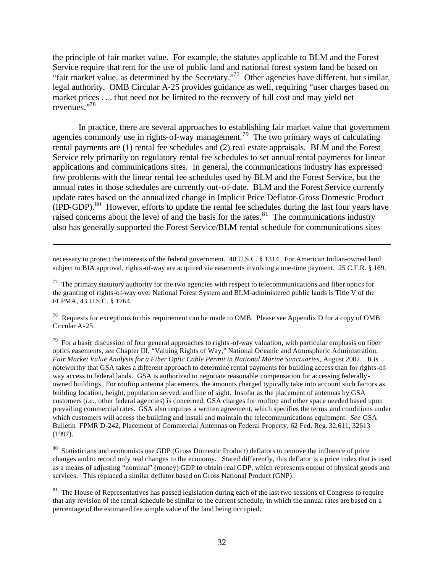the principle of fair market value. For example, the statutes applicable to BLM and the Forest Service require that rent for the use of public land and national forest system land be based on "fair market value, as determined by the Secretary."<sup>77</sup> Other agencies have different, but similar, legal authority. OMB Circular A-25 provides guidance as well, requiring "user charges based on market prices . . . that need not be limited to the recovery of full cost and may yield net revenues."<sup>78</sup> 

In practice, there are several approaches to establishing fair market value that government agencies commonly use in rights-of-way management.<sup>79</sup> The two primary ways of calculating rental payments are (1) rental fee schedules and (2) real estate appraisals. BLM and the Forest Service rely primarily on regulatory rental fee schedules to set annual rental payments for linear applications and communications sites. In general, the communications industry has expressed few problems with the linear rental fee schedules used by BLM and the Forest Service, but the annual rates in those schedules are currently out-of-date. BLM and the Forest Service currently update rates based on the annualized change in Implicit Price Deflator-Gross Domestic Product  $(IPD-GDP)$ <sup>80</sup>. However, efforts to update the rental fee schedules during the last four years have raised concerns about the level of and the basis for the rates. $81$  The communications industry also has generally supported the Forest Service/BLM rental schedule for communications sites

necessary to protect the interests of the federal government. 40 U.S.C. § 1314. For American Indian-owned land subject to BIA approval, rights-of-way are acquired via easements involving a one-time payment. 25 C.F.R. § 169.

 $\overline{a}$ 

 $77$  The primary statutory authority for the two agencies with respect to telecommunications and fiber optics for the granting of rights-of-way over National Forest System and BLM-administered public lands is Title V of the FLPMA, 43 U.S.C. § 1764.

<sup>78</sup> Requests for exceptions to this requirement can be made to OMB. Please see Appendix D for a copy of OMB Circular A-25.

 $79$  For a basic discussion of four general approaches to rights-of-way valuation, with particular emphasis on fiber optics easements, *see* Chapter III, "Valuing Rights of Way," National Oceanic and Atmospheric Administration, *Fair Market Value Analysis for a Fiber Optic Cable Permit in National Marine Sanctuaries*, August 2002. It is noteworthy that GSA takes a different approach to determine rental payments for building access than for rights-ofway access to federal lands. GSA is authorized to negotiate reasonable compensation for accessing federallyowned buildings. For rooftop antenna placements, the amounts charged typically take into account such factors as building location, height, population served, and line of sight. Insofar as the placement of antennas by GSA customers (*i.e.,* other federal agencies) is concerned, GSA charges for rooftop and other space needed based upon prevailing commercial rates. GSA also requires a written agreement, which specifies the terms and conditions under which customers will access the building and install and maintain the telecommunications equipment. *See* GSA Bulletin FPMR D-242, Placement of Commercial Antennas on Federal Property, 62 Fed. Reg. 32,611, 32613 (1997).

<sup>80</sup> Statisticians and economists use GDP (Gross Domestic Product) deflators to remove the influence of price changes and to record only real changes to the economy. Stated differently, this deflator is a price index that is used as a means of adjusting "nominal" (money) GDP to obtain real GDP, which represents output of physical goods and services. This replaced a similar deflator based on Gross National Product (GNP).

 $81$  The House of Representatives has passed legislation during each of the last two sessions of Congress to require that any revision of the rental schedule be similar to the current schedule, in which the annual rates are based on a percentage of the estimated fee simple value of the land being occupied.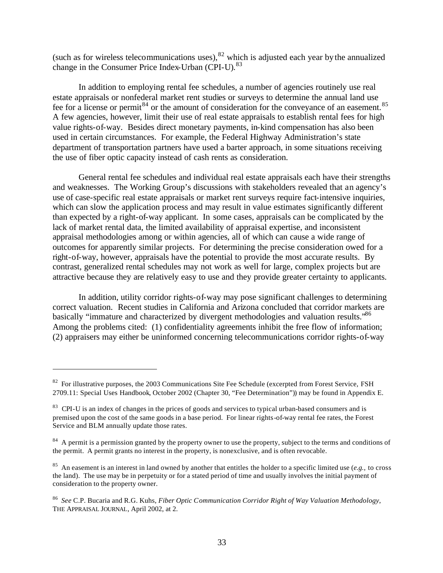(such as for wireless telecommunications uses), $82$  which is adjusted each year by the annualized change in the Consumer Price Index-Urban (CPI-U).<sup>83</sup>

In addition to employing rental fee schedules, a number of agencies routinely use real estate appraisals or nonfederal market rent studies or surveys to determine the annual land use fee for a license or permit<sup>84</sup> or the amount of consideration for the conveyance of an easement.<sup>85</sup> A few agencies, however, limit their use of real estate appraisals to establish rental fees for high value rights-of-way. Besides direct monetary payments, in-kind compensation has also been used in certain circumstances. For example, the Federal Highway Administration's state department of transportation partners have used a barter approach, in some situations receiving the use of fiber optic capacity instead of cash rents as consideration.

General rental fee schedules and individual real estate appraisals each have their strengths and weaknesses. The Working Group's discussions with stakeholders revealed that an agency's use of case-specific real estate appraisals or market rent surveys require fact-intensive inquiries, which can slow the application process and may result in value estimates significantly different than expected by a right-of-way applicant. In some cases, appraisals can be complicated by the lack of market rental data, the limited availability of appraisal expertise, and inconsistent appraisal methodologies among or within agencies, all of which can cause a wide range of outcomes for apparently similar projects. For determining the precise consideration owed for a right-of-way, however, appraisals have the potential to provide the most accurate results. By contrast, generalized rental schedules may not work as well for large, complex projects but are attractive because they are relatively easy to use and they provide greater certainty to applicants.

In addition, utility corridor rights-of-way may pose significant challenges to determining correct valuation. Recent studies in California and Arizona concluded that corridor markets are basically "immature and characterized by divergent methodologies and valuation results."<sup>86</sup> Among the problems cited: (1) confidentiality agreements inhibit the free flow of information; (2) appraisers may either be uninformed concerning telecommunications corridor rights-of-way

 $82$  For illustrative purposes, the 2003 Communications Site Fee Schedule (excerpted from Forest Service, FSH 2709.11: Special Uses Handbook, October 2002 (Chapter 30, "Fee Determination")) may be found in Appendix E.

<sup>&</sup>lt;sup>83</sup> CPI-U is an index of changes in the prices of goods and services to typical urban-based consumers and is premised upon the cost of the same goods in a base period. For linear rights-of-way rental fee rates, the Forest Service and BLM annually update those rates.

<sup>&</sup>lt;sup>84</sup> A permit is a permission granted by the property owner to use the property, subject to the terms and conditions of the permit. A permit grants no interest in the property, is nonexclusive, and is often revocable.

<sup>85</sup> An easement is an interest in land owned by another that entitles the holder to a specific limited use (*e.g.,* to cross the land). The use may be in perpetuity or for a stated period of time and usually involves the initial payment of consideration to the property owner.

<sup>86</sup> *See* C.P. Bucaria and R.G. Kuhs, *Fiber Optic Communication Corridor Right of Way Valuation Methodology*, THE APPRAISAL JOURNAL, April 2002, at 2.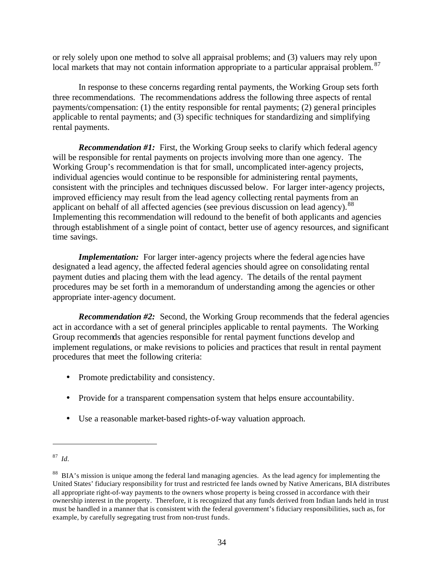or rely solely upon one method to solve all appraisal problems; and (3) valuers may rely upon local markets that may not contain information appropriate to a particular appraisal problem. <sup>87</sup>

In response to these concerns regarding rental payments, the Working Group sets forth three recommendations. The recommendations address the following three aspects of rental payments/compensation: (1) the entity responsible for rental payments; (2) general principles applicable to rental payments; and (3) specific techniques for standardizing and simplifying rental payments.

*Recommendation #1:* First, the Working Group seeks to clarify which federal agency will be responsible for rental payments on projects involving more than one agency. The Working Group's recommendation is that for small, uncomplicated inter-agency projects, individual agencies would continue to be responsible for administering rental payments, consistent with the principles and techniques discussed below. For larger inter-agency projects, improved efficiency may result from the lead agency collecting rental payments from an applicant on behalf of all affected agencies (see previous discussion on lead agency).<sup>88</sup> Implementing this recommendation will redound to the benefit of both applicants and agencies through establishment of a single point of contact, better use of agency resources, and significant time savings.

*Implementation:* For larger inter-agency projects where the federal agencies have designated a lead agency, the affected federal agencies should agree on consolidating rental payment duties and placing them with the lead agency. The details of the rental payment procedures may be set forth in a memorandum of understanding among the agencies or other appropriate inter-agency document.

*Recommendation #2:* Second, the Working Group recommends that the federal agencies act in accordance with a set of general principles applicable to rental payments. The Working Group recommends that agencies responsible for rental payment functions develop and implement regulations, or make revisions to policies and practices that result in rental payment procedures that meet the following criteria:

- Promote predictability and consistency.
- Provide for a transparent compensation system that helps ensure accountability.
- Use a reasonable market-based rights-of-way valuation approach.

<sup>87</sup> *Id.*

<sup>&</sup>lt;sup>88</sup> BIA's mission is unique among the federal land managing agencies. As the lead agency for implementing the United States' fiduciary responsibility for trust and restricted fee lands owned by Native Americans, BIA distributes all appropriate right-of-way payments to the owners whose property is being crossed in accordance with their ownership interest in the property. Therefore, it is recognized that any funds derived from Indian lands held in trust must be handled in a manner that is consistent with the federal government's fiduciary responsibilities, such as, for example, by carefully segregating trust from non-trust funds.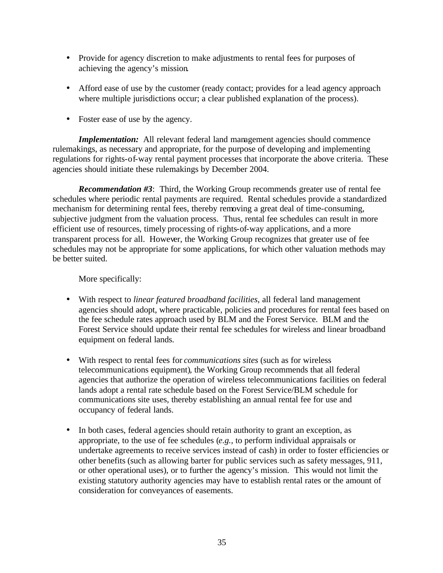- Provide for agency discretion to make adjustments to rental fees for purposes of achieving the agency's mission.
- Afford ease of use by the customer (ready contact; provides for a lead agency approach where multiple jurisdictions occur; a clear published explanation of the process).
- Foster ease of use by the agency.

*Implementation:* All relevant federal land management agencies should commence rulemakings, as necessary and appropriate, for the purpose of developing and implementing regulations for rights-of-way rental payment processes that incorporate the above criteria. These agencies should initiate these rulemakings by December 2004.

*Recommendation #3*: Third, the Working Group recommends greater use of rental fee schedules where periodic rental payments are required. Rental schedules provide a standardized mechanism for determining rental fees, thereby removing a great deal of time-consuming, subjective judgment from the valuation process. Thus, rental fee schedules can result in more efficient use of resources, timely processing of rights-of-way applications, and a more transparent process for all. However, the Working Group recognizes that greater use of fee schedules may not be appropriate for some applications, for which other valuation methods may be better suited.

More specifically:

- With respect to *linear featured broadband facilities*, all federal land management agencies should adopt, where practicable, policies and procedures for rental fees based on the fee schedule rates approach used by BLM and the Forest Service. BLM and the Forest Service should update their rental fee schedules for wireless and linear broadband equipment on federal lands.
- With respect to rental fees for *communications sites* (such as for wireless telecommunications equipment), the Working Group recommends that all federal agencies that authorize the operation of wireless telecommunications facilities on federal lands adopt a rental rate schedule based on the Forest Service/BLM schedule for communications site uses, thereby establishing an annual rental fee for use and occupancy of federal lands.
- In both cases, federal agencies should retain authority to grant an exception, as appropriate, to the use of fee schedules (*e.g.,* to perform individual appraisals or undertake agreements to receive services instead of cash) in order to foster efficiencies or other benefits (such as allowing barter for public services such as safety messages, 911, or other operational uses), or to further the agency's mission. This would not limit the existing statutory authority agencies may have to establish rental rates or the amount of consideration for conveyances of easements.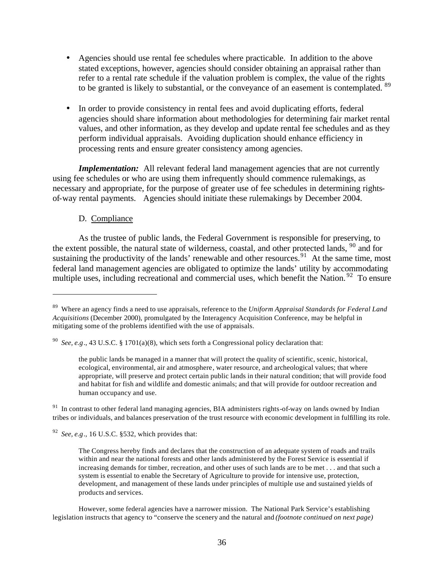- Agencies should use rental fee schedules where practicable. In addition to the above stated exceptions, however, agencies should consider obtaining an appraisal rather than refer to a rental rate schedule if the valuation problem is complex, the value of the rights to be granted is likely to substantial, or the conveyance of an easement is contemplated. <sup>89</sup>
- In order to provide consistency in rental fees and avoid duplicating efforts, federal agencies should share information about methodologies for determining fair market rental values, and other information, as they develop and update rental fee schedules and as they perform individual appraisals. Avoiding duplication should enhance efficiency in processing rents and ensure greater consistency among agencies.

*Implementation:* All relevant federal land management agencies that are not currently using fee schedules or who are using them infrequently should commence rulemakings, as necessary and appropriate, for the purpose of greater use of fee schedules in determining rightsof-way rental payments. Agencies should initiate these rulemakings by December 2004.

#### D. Compliance

 $\overline{a}$ 

As the trustee of public lands, the Federal Government is responsible for preserving, to the extent possible, the natural state of wilderness, coastal, and other protected lands,  $90$  and for sustaining the productivity of the lands' renewable and other resources.<sup>91</sup> At the same time, most federal land management agencies are obligated to optimize the lands' utility by accommodating multiple uses, including recreational and commercial uses, which benefit the Nation. <sup>92</sup> To ensure

<sup>91</sup> In contrast to other federal land managing agencies, BIA administers rights-of-way on lands owned by Indian tribes or individuals, and balances preservation of the trust resource with economic development in fulfilling its role.

 $92$  See, e.g., 16 U.S.C. §532, which provides that:

<sup>89</sup> Where an agency finds a need to use appraisals, reference to the *Uniform Appraisal Standards for Federal Land Acquisitions* (December 2000)*,* promulgated by the Interagency Acquisition Conference, may be helpful in mitigating some of the problems identified with the use of appraisals.

<sup>90</sup> *See, e.g*., 43 U.S.C. § 1701(a)(8), which sets forth a Congressional policy declaration that:

the public lands be managed in a manner that will protect the quality of scientific, scenic, historical, ecological, environmental, air and atmosphere, water resource, and archeological values; that where appropriate, will preserve and protect certain public lands in their natural condition; that will provide food and habitat for fish and wildlife and domestic animals; and that will provide for outdoor recreation and human occupancy and use.

The Congress hereby finds and declares that the construction of an adequate system of roads and trails within and near the national forests and other lands administered by the Forest Service is essential if increasing demands for timber, recreation, and other uses of such lands are to be met . . . and that such a system is essential to enable the Secretary of Agriculture to provide for intensive use, protection, development, and management of these lands under principles of multiple use and sustained yields of products and services.

However, some federal agencies have a narrower mission. The National Park Service's establishing legislation instructs that agency to "conserve the scenery and the natural and *(footnote continued on next page)*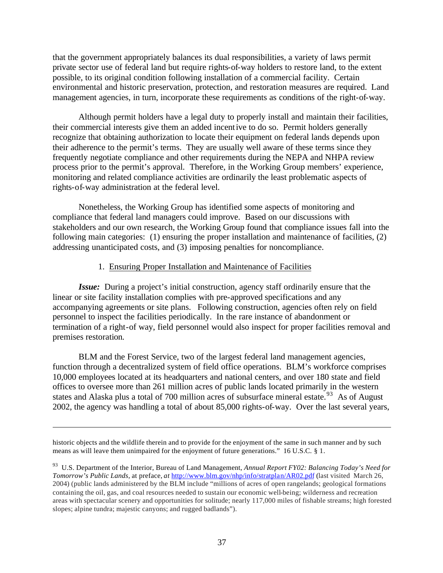that the government appropriately balances its dual responsibilities, a variety of laws permit private sector use of federal land but require rights-of-way holders to restore land, to the extent possible, to its original condition following installation of a commercial facility. Certain environmental and historic preservation, protection, and restoration measures are required. Land management agencies, in turn, incorporate these requirements as conditions of the right-of-way.

Although permit holders have a legal duty to properly install and maintain their facilities, their commercial interests give them an added incentive to do so. Permit holders generally recognize that obtaining authorization to locate their equipment on federal lands depends upon their adherence to the permit's terms. They are usually well aware of these terms since they frequently negotiate compliance and other requirements during the NEPA and NHPA review process prior to the permit's approval. Therefore, in the Working Group members' experience, monitoring and related compliance activities are ordinarily the least problematic aspects of rights-of-way administration at the federal level.

Nonetheless, the Working Group has identified some aspects of monitoring and compliance that federal land managers could improve. Based on our discussions with stakeholders and our own research, the Working Group found that compliance issues fall into the following main categories: (1) ensuring the proper installation and maintenance of facilities, (2) addressing unanticipated costs, and (3) imposing penalties for noncompliance.

#### 1. Ensuring Proper Installation and Maintenance of Facilities

*Issue:* During a project's initial construction, agency staff ordinarily ensure that the linear or site facility installation complies with pre-approved specifications and any accompanying agreements or site plans. Following construction, agencies often rely on field personnel to inspect the facilities periodically. In the rare instance of abandonment or termination of a right-of way, field personnel would also inspect for proper facilities removal and premises restoration.

BLM and the Forest Service, two of the largest federal land management agencies, function through a decentralized system of field office operations. BLM's workforce comprises 10,000 employees located at its headquarters and national centers, and over 180 state and field offices to oversee more than 261 million acres of public lands located primarily in the western states and Alaska plus a total of 700 million acres of subsurface mineral estate.<sup>93</sup> As of August 2002, the agency was handling a total of about 85,000 rights-of-way. Over the last several years,

historic objects and the wildlife therein and to provide for the enjoyment of the same in such manner and by such means as will leave them unimpaired for the enjoyment of future generations." 16 U.S.C. § 1.

<sup>93</sup> U.S. Department of the Interior, Bureau of Land Management, *Annual Report FY02: Balancing Today's Need for Tomorrow's Public Lands,* at preface, *at* http://www.blm.gov/nhp/info/stratplan/AR02.pdf (last visited March 26, 2004) (public lands administered by the BLM include "millions of acres of open rangelands; geological formations containing the oil, gas, and coal resources needed to sustain our economic well-being; wilderness and recreation areas with spectacular scenery and opportunities for solitude; nearly 117,000 miles of fishable streams; high forested slopes; alpine tundra; majestic canyons; and rugged badlands").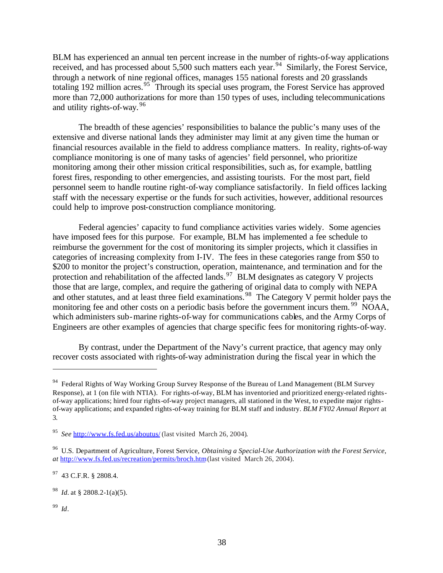BLM has experienced an annual ten percent increase in the number of rights-of-way applications received, and has processed about  $5,500$  such matters each year.<sup>94</sup> Similarly, the Forest Service, through a network of nine regional offices, manages 155 national forests and 20 grasslands totaling 192 million acres.<sup>95</sup> Through its special uses program, the Forest Service has approved more than 72,000 authorizations for more than 150 types of uses, including telecommunications and utility rights-of-way.<sup>96</sup>

The breadth of these agencies' responsibilities to balance the public's many uses of the extensive and diverse national lands they administer may limit at any given time the human or financial resources available in the field to address compliance matters. In reality, rights-of-way compliance monitoring is one of many tasks of agencies' field personnel, who prioritize monitoring among their other mission critical responsibilities, such as, for example, battling forest fires, responding to other emergencies, and assisting tourists. For the most part, field personnel seem to handle routine right-of-way compliance satisfactorily. In field offices lacking staff with the necessary expertise or the funds for such activities, however, additional resources could help to improve post-construction compliance monitoring.

Federal agencies' capacity to fund compliance activities varies widely. Some agencies have imposed fees for this purpose. For example, BLM has implemented a fee schedule to reimburse the government for the cost of monitoring its simpler projects, which it classifies in categories of increasing complexity from I-IV. The fees in these categories range from \$50 to \$200 to monitor the project's construction, operation, maintenance, and termination and for the protection and rehabilitation of the affected lands.<sup>97</sup> BLM designates as category V projects those that are large, complex, and require the gathering of original data to comply with NEPA and other statutes, and at least three field examinations.<sup>98</sup> The Category V permit holder pays the monitoring fee and other costs on a periodic basis before the government incurs them.<sup>99</sup> NOAA, which administers sub-marine rights-of-way for communications cables, and the Army Corps of Engineers are other examples of agencies that charge specific fees for monitoring rights-of-way.

By contrast, under the Department of the Navy's current practice, that agency may only recover costs associated with rights-of-way administration during the fiscal year in which the

99 *Id*.

<sup>&</sup>lt;sup>94</sup> Federal Rights of Way Working Group Survey Response of the Bureau of Land Management (BLM Survey Response), at 1 (on file with NTIA). For rights-of-way, BLM has inventoried and prioritized energy-related rightsof-way applications; hired four rights-of-way project managers, all stationed in the West, to expedite major rightsof-way applications; and expanded rights-of-way training for BLM staff and industry. *BLM FY02 Annual Report* at 3.

<sup>&</sup>lt;sup>95</sup> See http://www.fs.fed.us/aboutus/ (last visited March 26, 2004).

<sup>96</sup> U.S. Department of Agriculture, Forest Service, *Obtaining a Special-Use Authorization with the Forest Service*, *at* http://www.fs.fed.us/recreation/permits/broch.htm(last visited March 26, 2004).

<sup>97</sup> 43 C.F.R. § 2808.4.

<sup>98</sup> *Id.* at § 2808.2-1(a)(5).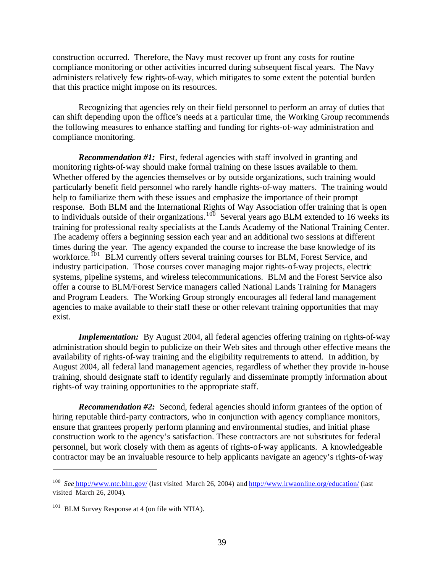construction occurred. Therefore, the Navy must recover up front any costs for routine compliance monitoring or other activities incurred during subsequent fiscal years. The Navy administers relatively few rights-of-way, which mitigates to some extent the potential burden that this practice might impose on its resources.

Recognizing that agencies rely on their field personnel to perform an array of duties that can shift depending upon the office's needs at a particular time, the Working Group recommends the following measures to enhance staffing and funding for rights-of-way administration and compliance monitoring.

*Recommendation #1:* First, federal agencies with staff involved in granting and monitoring rights-of-way should make formal training on these issues available to them. Whether offered by the agencies themselves or by outside organizations, such training would particularly benefit field personnel who rarely handle rights-of-way matters. The training would help to familiarize them with these issues and emphasize the importance of their prompt response. Both BLM and the International Rights of Way Association offer training that is open to individuals outside of their organizations.<sup>100</sup> Several years ago BLM extended to 16 weeks its training for professional realty specialists at the Lands Academy of the National Training Center. The academy offers a beginning session each year and an additional two sessions at different times during the year. The agency expanded the course to increase the base knowledge of its workforce.<sup>101</sup> BLM currently offers several training courses for BLM, Forest Service, and industry participation. Those courses cover managing major rights-of-way projects, electric systems, pipeline systems, and wireless telecommunications. BLM and the Forest Service also offer a course to BLM/Forest Service managers called National Lands Training for Managers and Program Leaders. The Working Group strongly encourages all federal land management agencies to make available to their staff these or other relevant training opportunities that may exist.

*Implementation:* By August 2004, all federal agencies offering training on rights-of-way administration should begin to publicize on their Web sites and through other effective means the availability of rights-of-way training and the eligibility requirements to attend. In addition, by August 2004, all federal land management agencies, regardless of whether they provide in-house training, should designate staff to identify regularly and disseminate promptly information about rights-of way training opportunities to the appropriate staff.

*Recommendation #2:* Second, federal agencies should inform grantees of the option of hiring reputable third-party contractors, who in conjunction with agency compliance monitors, ensure that grantees properly perform planning and environmental studies, and initial phase construction work to the agency's satisfaction. These contractors are not substitutes for federal personnel, but work closely with them as agents of rights-of-way applicants. A knowledgeable contractor may be an invaluable resource to help applicants navigate an agency's rights-of-way

<sup>&</sup>lt;sup>100</sup> See http://www.ntc.blm.gov/ (last visited March 26, 2004) and http://www.irwaonline.org/education/ (last visited March 26, 2004).

 $101$  BLM Survey Response at 4 (on file with NTIA).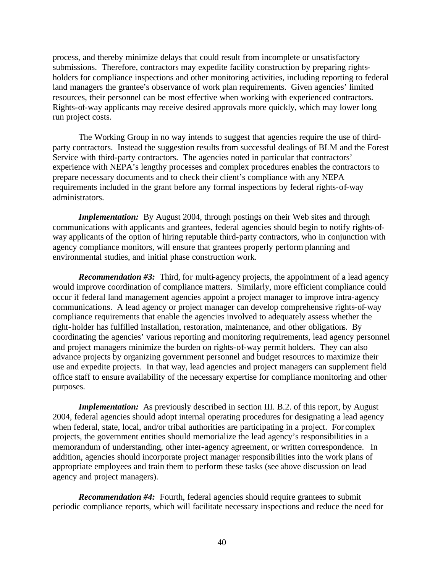process, and thereby minimize delays that could result from incomplete or unsatisfactory submissions. Therefore, contractors may expedite facility construction by preparing rightsholders for compliance inspections and other monitoring activities, including reporting to federal land managers the grantee's observance of work plan requirements. Given agencies' limited resources, their personnel can be most effective when working with experienced contractors. Rights-of-way applicants may receive desired approvals more quickly, which may lower long run project costs.

The Working Group in no way intends to suggest that agencies require the use of thirdparty contractors. Instead the suggestion results from successful dealings of BLM and the Forest Service with third-party contractors. The agencies noted in particular that contractors' experience with NEPA's lengthy processes and complex procedures enables the contractors to prepare necessary documents and to check their client's compliance with any NEPA requirements included in the grant before any formal inspections by federal rights-of-way administrators.

*Implementation:* By August 2004, through postings on their Web sites and through communications with applicants and grantees, federal agencies should begin to notify rights-ofway applicants of the option of hiring reputable third-party contractors, who in conjunction with agency compliance monitors, will ensure that grantees properly perform planning and environmental studies, and initial phase construction work.

*Recommendation #3:* Third, for multi-agency projects, the appointment of a lead agency would improve coordination of compliance matters. Similarly, more efficient compliance could occur if federal land management agencies appoint a project manager to improve intra-agency communications. A lead agency or project manager can develop comprehensive rights-of-way compliance requirements that enable the agencies involved to adequately assess whether the right-holder has fulfilled installation, restoration, maintenance, and other obligations. By coordinating the agencies' various reporting and monitoring requirements, lead agency personnel and project managers minimize the burden on rights-of-way permit holders. They can also advance projects by organizing government personnel and budget resources to maximize their use and expedite projects. In that way, lead agencies and project managers can supplement field office staff to ensure availability of the necessary expertise for compliance monitoring and other purposes.

*Implementation:* As previously described in section III. B.2. of this report, by August 2004, federal agencies should adopt internal operating procedures for designating a lead agency when federal, state, local, and/or tribal authorities are participating in a project. For complex projects, the government entities should memorialize the lead agency's responsibilities in a memorandum of understanding, other inter-agency agreement, or written correspondence. In addition, agencies should incorporate project manager responsibilities into the work plans of appropriate employees and train them to perform these tasks (see above discussion on lead agency and project managers).

*Recommendation #4:* Fourth, federal agencies should require grantees to submit periodic compliance reports, which will facilitate necessary inspections and reduce the need for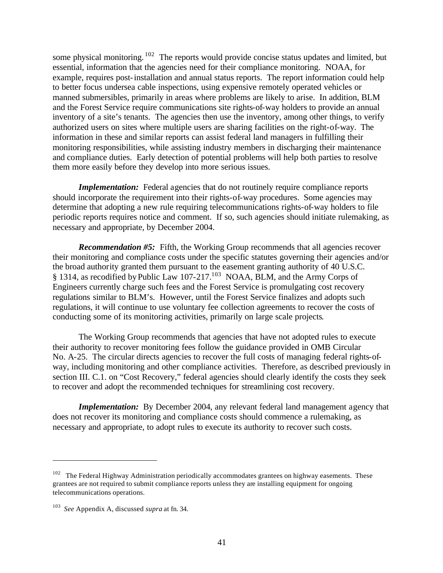some physical monitoring.  $102$  The reports would provide concise status updates and limited, but essential, information that the agencies need for their compliance monitoring. NOAA, for example, requires post-installation and annual status reports. The report information could help to better focus undersea cable inspections, using expensive remotely operated vehicles or manned submersibles, primarily in areas where problems are likely to arise. In addition, BLM and the Forest Service require communications site rights-of-way holders to provide an annual inventory of a site's tenants. The agencies then use the inventory, among other things, to verify authorized users on sites where multiple users are sharing facilities on the right-of-way. The information in these and similar reports can assist federal land managers in fulfilling their monitoring responsibilities, while assisting industry members in discharging their maintenance and compliance duties. Early detection of potential problems will help both parties to resolve them more easily before they develop into more serious issues.

*Implementation:* Federal agencies that do not routinely require compliance reports should incorporate the requirement into their rights-of-way procedures. Some agencies may determine that adopting a new rule requiring telecommunications rights-of-way holders to file periodic reports requires notice and comment. If so, such agencies should initiate rulemaking, as necessary and appropriate, by December 2004.

*Recommendation #5:* Fifth, the Working Group recommends that all agencies recover their monitoring and compliance costs under the specific statutes governing their agencies and/or the broad authority granted them pursuant to the easement granting authority of 40 U.S.C. § 1314, as recodified by Public Law 107-217.<sup>103</sup> NOAA, BLM, and the Army Corps of Engineers currently charge such fees and the Forest Service is promulgating cost recovery regulations similar to BLM's. However, until the Forest Service finalizes and adopts such regulations, it will continue to use voluntary fee collection agreements to recover the costs of conducting some of its monitoring activities, primarily on large scale projects.

The Working Group recommends that agencies that have not adopted rules to execute their authority to recover monitoring fees follow the guidance provided in OMB Circular No. A-25. The circular directs agencies to recover the full costs of managing federal rights-ofway, including monitoring and other compliance activities. Therefore, as described previously in section III. C.1. on "Cost Recovery," federal agencies should clearly identify the costs they seek to recover and adopt the recommended techniques for streamlining cost recovery.

*Implementation:* By December 2004, any relevant federal land management agency that does not recover its monitoring and compliance costs should commence a rulemaking, as necessary and appropriate, to adopt rules to execute its authority to recover such costs.

 $102$  The Federal Highway Administration periodically accommodates grantees on highway easements. These grantees are not required to submit compliance reports unless they are installing equipment for ongoing telecommunications operations.

<sup>103</sup> *See* Appendix A, discussed *supra* at fn. 34.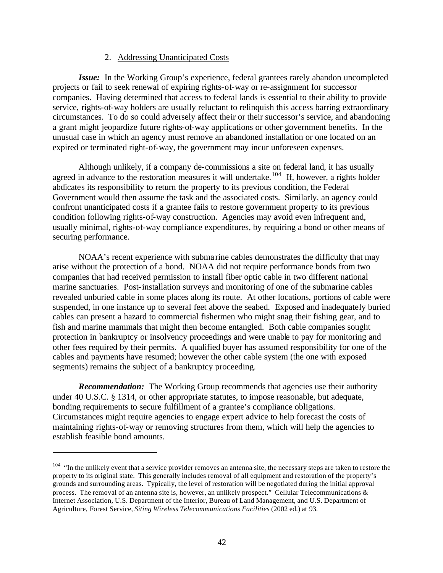### 2. Addressing Unanticipated Costs

*Issue:* In the Working Group's experience, federal grantees rarely abandon uncompleted projects or fail to seek renewal of expiring rights-of-way or re-assignment for successor companies. Having determined that access to federal lands is essential to their ability to provide service, rights-of-way holders are usually reluctant to relinquish this access barring extraordinary circumstances. To do so could adversely affect their or their successor's service, and abandoning a grant might jeopardize future rights-of-way applications or other government benefits. In the unusual case in which an agency must remove an abandoned installation or one located on an expired or terminated right-of-way, the government may incur unforeseen expenses.

Although unlikely, if a company de-commissions a site on federal land, it has usually agreed in advance to the restoration measures it will undertake.<sup>104</sup> If, however, a rights holder abdicates its responsibility to return the property to its previous condition, the Federal Government would then assume the task and the associated costs. Similarly, an agency could confront unanticipated costs if a grantee fails to restore government property to its previous condition following rights-of-way construction. Agencies may avoid even infrequent and, usually minimal, rights-of-way compliance expenditures, by requiring a bond or other means of securing performance.

NOAA's recent experience with subma rine cables demonstrates the difficulty that may arise without the protection of a bond. NOAA did not require performance bonds from two companies that had received permission to install fiber optic cable in two different national marine sanctuaries. Post-installation surveys and monitoring of one of the submarine cables revealed unburied cable in some places along its route. At other locations, portions of cable were suspended, in one instance up to several feet above the seabed. Exposed and inadequately buried cables can present a hazard to commercial fishermen who might snag their fishing gear, and to fish and marine mammals that might then become entangled. Both cable companies sought protection in bankruptcy or insolvency proceedings and were unable to pay for monitoring and other fees required by their permits. A qualified buyer has assumed responsibility for one of the cables and payments have resumed; however the other cable system (the one with exposed segments) remains the subject of a bankruptcy proceeding.

*Recommendation:* The Working Group recommends that agencies use their authority under 40 U.S.C. § 1314, or other appropriate statutes, to impose reasonable, but adequate, bonding requirements to secure fulfillment of a grantee's compliance obligations. Circumstances might require agencies to engage expert advice to help forecast the costs of maintaining rights-of-way or removing structures from them, which will help the agencies to establish feasible bond amounts.

<sup>&</sup>lt;sup>104</sup> "In the unlikely event that a service provider removes an antenna site, the necessary steps are taken to restore the property to its original state. This generally includes removal of all equipment and restoration of the property's grounds and surrounding areas. Typically, the level of restoration will be negotiated during the initial approval process. The removal of an antenna site is, however, an unlikely prospect." Cellular Telecommunications & Internet Association, U.S. Department of the Interior, Bureau of Land Management, and U.S. Department of Agriculture, Forest Service, *Siting Wireless Telecommunications Facilities* (2002 ed.) at 93.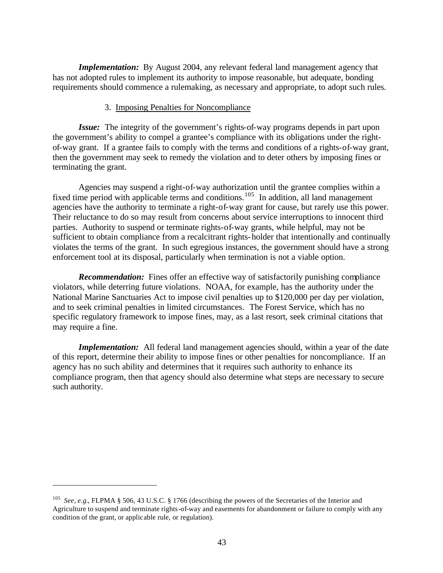*Implementation:* By August 2004, any relevant federal land management agency that has not adopted rules to implement its authority to impose reasonable, but adequate, bonding requirements should commence a rulemaking, as necessary and appropriate, to adopt such rules.

#### 3. Imposing Penalties for Noncompliance

*Issue:* The integrity of the government's rights-of-way programs depends in part upon the government's ability to compel a grantee's compliance with its obligations under the rightof-way grant. If a grantee fails to comply with the terms and conditions of a rights-of-way grant, then the government may seek to remedy the violation and to deter others by imposing fines or terminating the grant.

Agencies may suspend a right-of-way authorization until the grantee complies within a fixed time period with applicable terms and conditions.<sup>105</sup> In addition, all land management agencies have the authority to terminate a right-of-way grant for cause, but rarely use this power. Their reluctance to do so may result from concerns about service interruptions to innocent third parties. Authority to suspend or terminate rights-of-way grants, while helpful, may not be sufficient to obtain compliance from a recalcitrant rights-holder that intentionally and continually violates the terms of the grant. In such egregious instances, the government should have a strong enforcement tool at its disposal, particularly when termination is not a viable option.

*Recommendation:* Fines offer an effective way of satisfactorily punishing compliance violators, while deterring future violations. NOAA, for example, has the authority under the National Marine Sanctuaries Act to impose civil penalties up to \$120,000 per day per violation, and to seek criminal penalties in limited circumstances. The Forest Service, which has no specific regulatory framework to impose fines, may, as a last resort, seek criminal citations that may require a fine.

*Implementation:* All federal land management agencies should, within a year of the date of this report, determine their ability to impose fines or other penalties for noncompliance. If an agency has no such ability and determines that it requires such authority to enhance its compliance program, then that agency should also determine what steps are necessary to secure such authority.

<sup>105</sup> *See, e.g.*, FLPMA § 506, 43 U.S.C. § 1766 (describing the powers of the Secretaries of the Interior and Agriculture to suspend and terminate rights-of-way and easements for abandonment or failure to comply with any condition of the grant, or applicable rule, or regulation).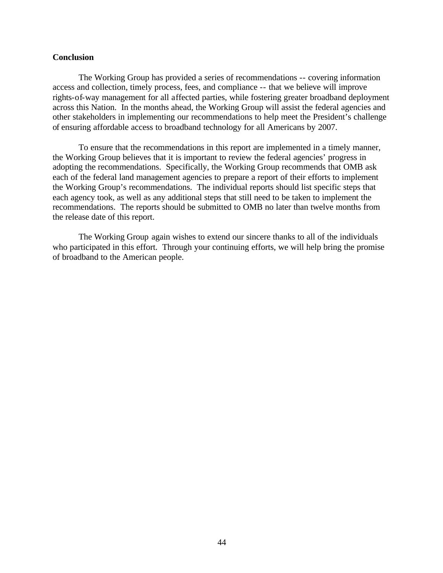#### **Conclusion**

The Working Group has provided a series of recommendations -- covering information access and collection, timely process, fees, and compliance -- that we believe will improve rights-of-way management for all affected parties, while fostering greater broadband deployment across this Nation. In the months ahead, the Working Group will assist the federal agencies and other stakeholders in implementing our recommendations to help meet the President's challenge of ensuring affordable access to broadband technology for all Americans by 2007.

To ensure that the recommendations in this report are implemented in a timely manner, the Working Group believes that it is important to review the federal agencies' progress in adopting the recommendations. Specifically, the Working Group recommends that OMB ask each of the federal land management agencies to prepare a report of their efforts to implement the Working Group's recommendations. The individual reports should list specific steps that each agency took, as well as any additional steps that still need to be taken to implement the recommendations. The reports should be submitted to OMB no later than twelve months from the release date of this report.

The Working Group again wishes to extend our sincere thanks to all of the individuals who participated in this effort. Through your continuing efforts, we will help bring the promise of broadband to the American people.